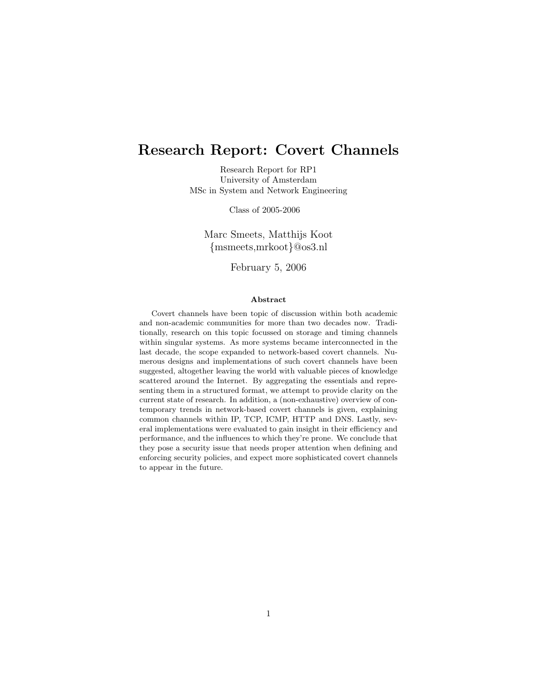# Research Report: Covert Channels

Research Report for RP1 University of Amsterdam MSc in System and Network Engineering

Class of 2005-2006

Marc Smeets, Matthijs Koot {msmeets,mrkoot}@os3.nl

February 5, 2006

#### Abstract

Covert channels have been topic of discussion within both academic and non-academic communities for more than two decades now. Traditionally, research on this topic focussed on storage and timing channels within singular systems. As more systems became interconnected in the last decade, the scope expanded to network-based covert channels. Numerous designs and implementations of such covert channels have been suggested, altogether leaving the world with valuable pieces of knowledge scattered around the Internet. By aggregating the essentials and representing them in a structured format, we attempt to provide clarity on the current state of research. In addition, a (non-exhaustive) overview of contemporary trends in network-based covert channels is given, explaining common channels within IP, TCP, ICMP, HTTP and DNS. Lastly, several implementations were evaluated to gain insight in their efficiency and performance, and the influences to which they're prone. We conclude that they pose a security issue that needs proper attention when defining and enforcing security policies, and expect more sophisticated covert channels to appear in the future.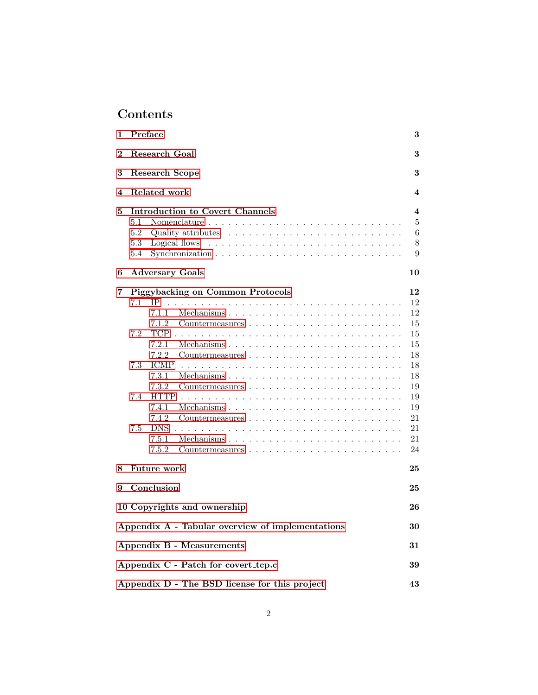# Contents

| 1        | Preface                                                                                                                                                                                                                                                                                                                                                                                                                                                                                                                                                                                                                                                                                                                                                 | 3                     |  |  |  |  |  |  |  |  |
|----------|---------------------------------------------------------------------------------------------------------------------------------------------------------------------------------------------------------------------------------------------------------------------------------------------------------------------------------------------------------------------------------------------------------------------------------------------------------------------------------------------------------------------------------------------------------------------------------------------------------------------------------------------------------------------------------------------------------------------------------------------------------|-----------------------|--|--|--|--|--|--|--|--|
| $\bf{2}$ | Research Goal                                                                                                                                                                                                                                                                                                                                                                                                                                                                                                                                                                                                                                                                                                                                           | 3                     |  |  |  |  |  |  |  |  |
| 3        | Research Scope                                                                                                                                                                                                                                                                                                                                                                                                                                                                                                                                                                                                                                                                                                                                          | 3                     |  |  |  |  |  |  |  |  |
| 4        | Related work                                                                                                                                                                                                                                                                                                                                                                                                                                                                                                                                                                                                                                                                                                                                            | 4                     |  |  |  |  |  |  |  |  |
| 5        | <b>Introduction to Covert Channels</b><br>5.1<br>5.2<br>Quality attributes $\ldots \ldots \ldots \ldots \ldots \ldots \ldots \ldots \ldots$<br>5.3<br>Logical flows $\ldots \ldots \ldots \ldots \ldots \ldots \ldots \ldots \ldots \ldots$<br>5.4<br>Synchronization $\ldots \ldots \ldots \ldots \ldots \ldots \ldots \ldots \ldots \ldots$                                                                                                                                                                                                                                                                                                                                                                                                           | 4<br>5<br>6<br>8<br>9 |  |  |  |  |  |  |  |  |
| 6        | <b>Adversary Goals</b>                                                                                                                                                                                                                                                                                                                                                                                                                                                                                                                                                                                                                                                                                                                                  | 10                    |  |  |  |  |  |  |  |  |
| 7        | <b>Piggybacking on Common Protocols</b><br>7.1<br><b>IP</b><br>7.1.1<br>Mechanisms $\ldots$ $\ldots$ $\ldots$ $\ldots$ $\ldots$ $\ldots$ $\ldots$ $\ldots$ $\ldots$<br>7.1.2<br>Countermeasures $\ldots$ , $\ldots$ , $\ldots$ , $\ldots$ , $\ldots$ , $\ldots$ , $\ldots$<br>7.2<br><b>TCP</b><br>7.2.1<br>Mechanisms $\ldots$ $\ldots$ $\ldots$ $\ldots$ $\ldots$ $\ldots$ $\ldots$ $\ldots$ $\ldots$ $\ldots$<br>7.2.2<br>7.3<br><b>ICMP</b><br>7.3.1<br>Mechanisms $\ldots$ $\ldots$ $\ldots$ $\ldots$ $\ldots$ $\ldots$ $\ldots$ $\ldots$ $\ldots$ $\ldots$<br>7.3.2<br>7.4<br><b>HTTP</b><br>7.4.1<br>Mechanisms $\ldots$ $\ldots$ $\ldots$ $\ldots$ $\ldots$ $\ldots$ $\ldots$ $\ldots$ $\ldots$<br>7.4.2<br>7.5<br><b>DNS</b><br>7.5.1<br>7.5.2 |                       |  |  |  |  |  |  |  |  |
| 8        | <b>Future</b> work                                                                                                                                                                                                                                                                                                                                                                                                                                                                                                                                                                                                                                                                                                                                      | 25                    |  |  |  |  |  |  |  |  |
| 9        | Conclusion                                                                                                                                                                                                                                                                                                                                                                                                                                                                                                                                                                                                                                                                                                                                              | 25                    |  |  |  |  |  |  |  |  |
|          | 10 Copyrights and ownership                                                                                                                                                                                                                                                                                                                                                                                                                                                                                                                                                                                                                                                                                                                             | 26                    |  |  |  |  |  |  |  |  |
|          | Appendix A - Tabular overview of implementations                                                                                                                                                                                                                                                                                                                                                                                                                                                                                                                                                                                                                                                                                                        | 30                    |  |  |  |  |  |  |  |  |
|          | <b>Appendix B - Measurements</b>                                                                                                                                                                                                                                                                                                                                                                                                                                                                                                                                                                                                                                                                                                                        | 31                    |  |  |  |  |  |  |  |  |
|          | Appendix C - Patch for covert_tcp.c                                                                                                                                                                                                                                                                                                                                                                                                                                                                                                                                                                                                                                                                                                                     | 39                    |  |  |  |  |  |  |  |  |
|          | Appendix D - The BSD license for this project                                                                                                                                                                                                                                                                                                                                                                                                                                                                                                                                                                                                                                                                                                           | 43                    |  |  |  |  |  |  |  |  |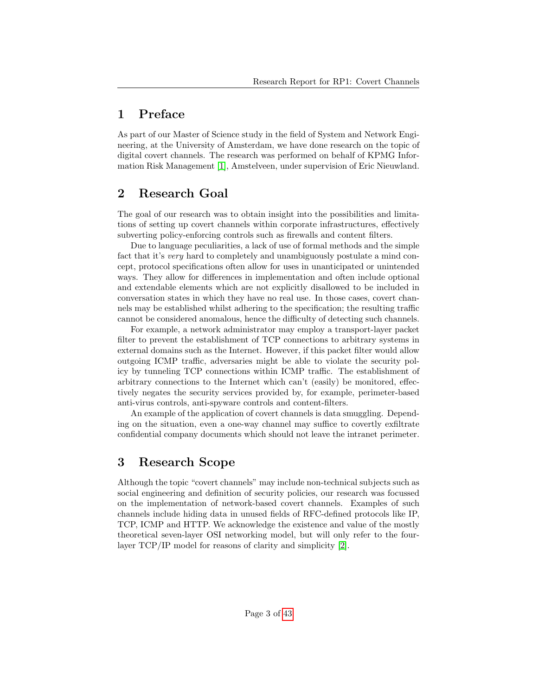## <span id="page-2-0"></span>1 Preface

As part of our Master of Science study in the field of System and Network Engineering, at the University of Amsterdam, we have done research on the topic of digital covert channels. The research was performed on behalf of KPMG Information Risk Management [\[1\]](#page-26-0), Amstelveen, under supervision of Eric Nieuwland.

## <span id="page-2-1"></span>2 Research Goal

The goal of our research was to obtain insight into the possibilities and limitations of setting up covert channels within corporate infrastructures, effectively subverting policy-enforcing controls such as firewalls and content filters.

Due to language peculiarities, a lack of use of formal methods and the simple fact that it's very hard to completely and unambiguously postulate a mind concept, protocol specifications often allow for uses in unanticipated or unintended ways. They allow for differences in implementation and often include optional and extendable elements which are not explicitly disallowed to be included in conversation states in which they have no real use. In those cases, covert channels may be established whilst adhering to the specification; the resulting traffic cannot be considered anomalous, hence the difficulty of detecting such channels.

For example, a network administrator may employ a transport-layer packet filter to prevent the establishment of TCP connections to arbitrary systems in external domains such as the Internet. However, if this packet filter would allow outgoing ICMP traffic, adversaries might be able to violate the security policy by tunneling TCP connections within ICMP traffic. The establishment of arbitrary connections to the Internet which can't (easily) be monitored, effectively negates the security services provided by, for example, perimeter-based anti-virus controls, anti-spyware controls and content-filters.

An example of the application of covert channels is data smuggling. Depending on the situation, even a one-way channel may suffice to covertly exfiltrate confidential company documents which should not leave the intranet perimeter.

## <span id="page-2-2"></span>3 Research Scope

Although the topic "covert channels" may include non-technical subjects such as social engineering and definition of security policies, our research was focussed on the implementation of network-based covert channels. Examples of such channels include hiding data in unused fields of RFC-defined protocols like IP, TCP, ICMP and HTTP. We acknowledge the existence and value of the mostly theoretical seven-layer OSI networking model, but will only refer to the fourlayer TCP/IP model for reasons of clarity and simplicity [\[2\]](#page-26-1).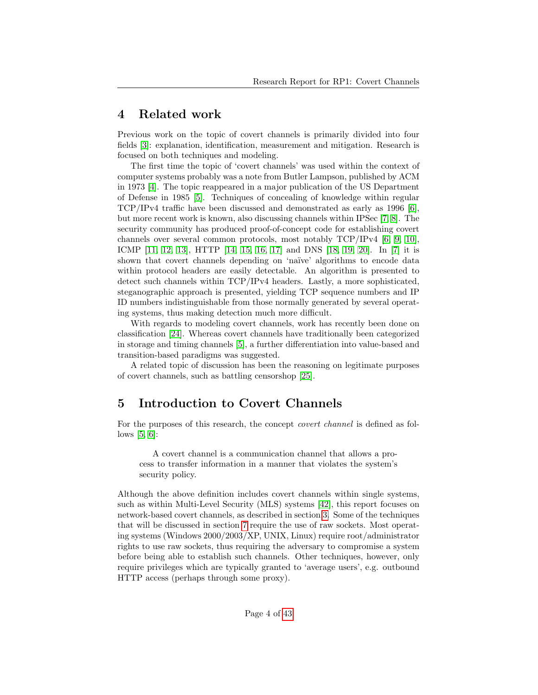## <span id="page-3-0"></span>4 Related work

Previous work on the topic of covert channels is primarily divided into four fields [\[3\]](#page-26-2): explanation, identification, measurement and mitigation. Research is focused on both techniques and modeling.

The first time the topic of 'covert channels' was used within the context of computer systems probably was a note from Butler Lampson, published by ACM in 1973 [\[4\]](#page-26-3). The topic reappeared in a major publication of the US Department of Defense in 1985 [\[5\]](#page-26-4). Techniques of concealing of knowledge within regular TCP/IPv4 traffic have been discussed and demonstrated as early as 1996 [\[6\]](#page-26-5), but more recent work is known, also discussing channels within IPSec [\[7,](#page-26-6) [8\]](#page-26-7). The security community has produced proof-of-concept code for establishing covert channels over several common protocols, most notably TCP/IPv4 [\[6,](#page-26-5) [9,](#page-26-8) [10\]](#page-26-9), ICMP [\[11,](#page-26-10) [12,](#page-26-11) [13\]](#page-26-12), HTTP [\[14,](#page-26-13) [15,](#page-26-14) [16,](#page-26-15) [17\]](#page-26-16) and DNS [\[18,](#page-27-0) [19,](#page-27-1) [20\]](#page-27-2). In [\[7\]](#page-26-6) it is shown that covert channels depending on 'naïve' algorithms to encode data within protocol headers are easily detectable. An algorithm is presented to detect such channels within TCP/IPv4 headers. Lastly, a more sophisticated, steganographic approach is presented, yielding TCP sequence numbers and IP ID numbers indistinguishable from those normally generated by several operating systems, thus making detection much more difficult.

With regards to modeling covert channels, work has recently been done on classification [\[24\]](#page-27-3). Whereas covert channels have traditionally been categorized in storage and timing channels [\[5\]](#page-26-4), a further differentiation into value-based and transition-based paradigms was suggested.

A related topic of discussion has been the reasoning on legitimate purposes of covert channels, such as battling censorshop [\[25\]](#page-27-4).

## <span id="page-3-1"></span>5 Introduction to Covert Channels

For the purposes of this research, the concept covert channel is defined as follows [\[5,](#page-26-4) [6\]](#page-26-5):

A covert channel is a communication channel that allows a process to transfer information in a manner that violates the system's security policy.

Although the above definition includes covert channels within single systems, such as within Multi-Level Security (MLS) systems [\[42\]](#page-28-0), this report focuses on network-based covert channels, as described in section [3.](#page-2-2) Some of the techniques that will be discussed in section [7](#page-11-0) require the use of raw sockets. Most operating systems (Windows 2000/2003/XP, UNIX, Linux) require root/administrator rights to use raw sockets, thus requiring the adversary to compromise a system before being able to establish such channels. Other techniques, however, only require privileges which are typically granted to 'average users', e.g. outbound HTTP access (perhaps through some proxy).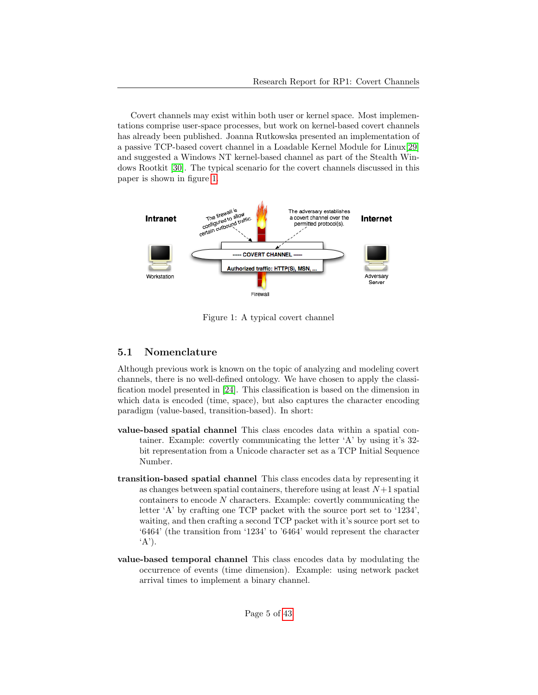Covert channels may exist within both user or kernel space. Most implementations comprise user-space processes, but work on kernel-based covert channels has already been published. Joanna Rutkowska presented an implementation of a passive TCP-based covert channel in a Loadable Kernel Module for Linux[\[29\]](#page-27-5) and suggested a Windows NT kernel-based channel as part of the Stealth Windows Rootkit [\[30\]](#page-27-6). The typical scenario for the covert channels discussed in this paper is shown in figure [1.](#page-4-1)



<span id="page-4-1"></span>Figure 1: A typical covert channel

## <span id="page-4-0"></span>5.1 Nomenclature

Although previous work is known on the topic of analyzing and modeling covert channels, there is no well-defined ontology. We have chosen to apply the classification model presented in [\[24\]](#page-27-3). This classification is based on the dimension in which data is encoded (time, space), but also captures the character encoding paradigm (value-based, transition-based). In short:

- value-based spatial channel This class encodes data within a spatial container. Example: covertly communicating the letter 'A' by using it's 32 bit representation from a Unicode character set as a TCP Initial Sequence Number.
- transition-based spatial channel This class encodes data by representing it as changes between spatial containers, therefore using at least  $N+1$  spatial containers to encode  $N$  characters. Example: covertly communicating the letter 'A' by crafting one TCP packet with the source port set to '1234', waiting, and then crafting a second TCP packet with it's source port set to '6464' (the transition from '1234' to '6464' would represent the character  $(A')$ .
- value-based temporal channel This class encodes data by modulating the occurrence of events (time dimension). Example: using network packet arrival times to implement a binary channel.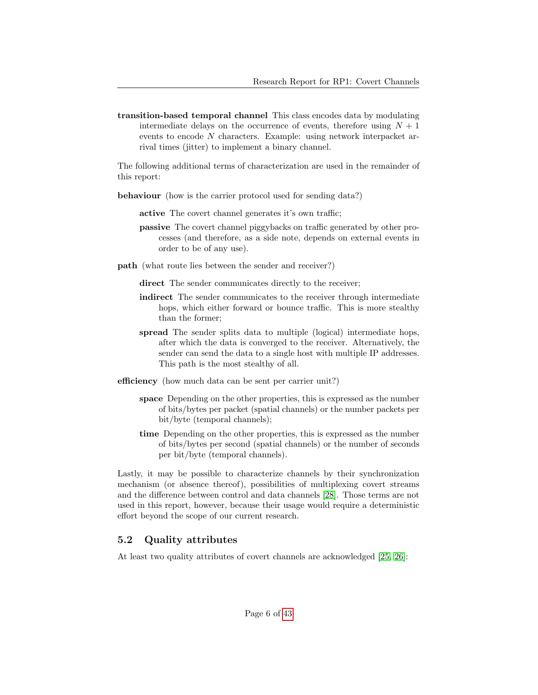transition-based temporal channel This class encodes data by modulating intermediate delays on the occurrence of events, therefore using  $N + 1$ events to encode N characters. Example: using network interpacket arrival times (jitter) to implement a binary channel.

The following additional terms of characterization are used in the remainder of this report:

behaviour (how is the carrier protocol used for sending data?)

active The covert channel generates it's own traffic;

- passive The covert channel piggybacks on traffic generated by other processes (and therefore, as a side note, depends on external events in order to be of any use).
- path (what route lies between the sender and receiver?)

direct The sender communicates directly to the receiver;

- indirect The sender communicates to the receiver through intermediate hops, which either forward or bounce traffic. This is more stealthy than the former;
- spread The sender splits data to multiple (logical) intermediate hops, after which the data is converged to the receiver. Alternatively, the sender can send the data to a single host with multiple IP addresses. This path is the most stealthy of all.
- efficiency (how much data can be sent per carrier unit?)
	- space Depending on the other properties, this is expressed as the number of bits/bytes per packet (spatial channels) or the number packets per bit/byte (temporal channels);
	- time Depending on the other properties, this is expressed as the number of bits/bytes per second (spatial channels) or the number of seconds per bit/byte (temporal channels).

Lastly, it may be possible to characterize channels by their synchronization mechanism (or absence thereof), possibilities of multiplexing covert streams and the difference between control and data channels [\[28\]](#page-27-7). Those terms are not used in this report, however, because their usage would require a deterministic effort beyond the scope of our current research.

### <span id="page-5-0"></span>5.2 Quality attributes

At least two quality attributes of covert channels are acknowledged [\[25,](#page-27-4) [26\]](#page-27-8):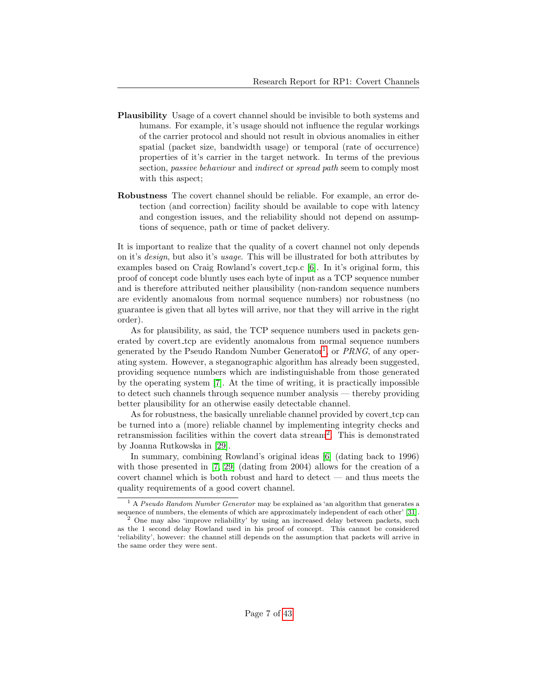- Plausibility Usage of a covert channel should be invisible to both systems and humans. For example, it's usage should not influence the regular workings of the carrier protocol and should not result in obvious anomalies in either spatial (packet size, bandwidth usage) or temporal (rate of occurrence) properties of it's carrier in the target network. In terms of the previous section, passive behaviour and indirect or spread path seem to comply most with this aspect;
- Robustness The covert channel should be reliable. For example, an error detection (and correction) facility should be available to cope with latency and congestion issues, and the reliability should not depend on assumptions of sequence, path or time of packet delivery.

It is important to realize that the quality of a covert channel not only depends on it's design, but also it's usage. This will be illustrated for both attributes by examples based on Craig Rowland's covert tcp.c [\[6\]](#page-26-5). In it's original form, this proof of concept code bluntly uses each byte of input as a TCP sequence number and is therefore attributed neither plausibility (non-random sequence numbers are evidently anomalous from normal sequence numbers) nor robustness (no guarantee is given that all bytes will arrive, nor that they will arrive in the right order).

As for plausibility, as said, the TCP sequence numbers used in packets generated by covert tcp are evidently anomalous from normal sequence numbers generated by the Pseudo Random Number Generator<sup>[1](#page-6-0)</sup>, or  $PRNG$ , of any operating system. However, a steganographic algorithm has already been suggested, providing sequence numbers which are indistinguishable from those generated by the operating system [\[7\]](#page-26-6). At the time of writing, it is practically impossible to detect such channels through sequence number analysis — thereby providing better plausibility for an otherwise easily detectable channel.

As for robustness, the basically unreliable channel provided by covert tcp can be turned into a (more) reliable channel by implementing integrity checks and retransmission facilities within the covert data stream<sup>[2](#page-6-1)</sup>. This is demonstrated by Joanna Rutkowska in [\[29\]](#page-27-5).

In summary, combining Rowland's original ideas [\[6\]](#page-26-5) (dating back to 1996) with those presented in [\[7,](#page-26-6) [29\]](#page-27-5) (dating from 2004) allows for the creation of a covert channel which is both robust and hard to detect — and thus meets the quality requirements of a good covert channel.

<span id="page-6-0"></span> $1 \text{ A}$  Pseudo Random Number Generator may be explained as 'an algorithm that generates a sequence of numbers, the elements of which are approximately independent of each other' [\[31\]](#page-27-9).

<span id="page-6-1"></span><sup>&</sup>lt;sup>2</sup> One may also 'improve reliability' by using an increased delay between packets, such as the 1 second delay Rowland used in his proof of concept. This cannot be considered 'reliability', however: the channel still depends on the assumption that packets will arrive in the same order they were sent.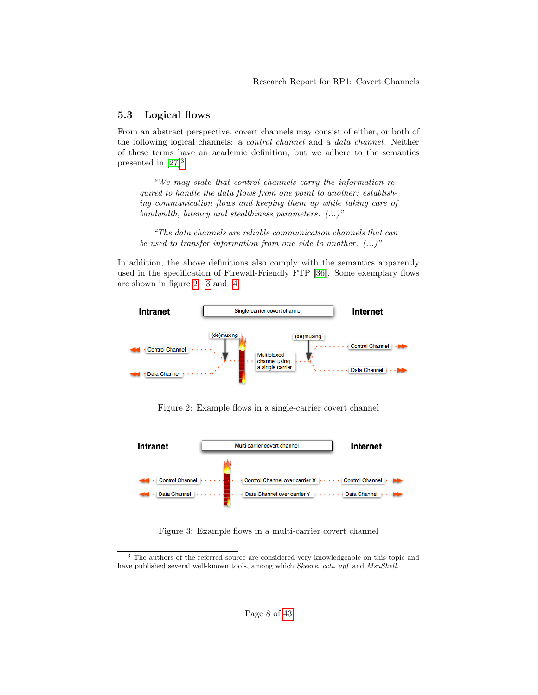## <span id="page-7-0"></span>5.3 Logical flows

From an abstract perspective, covert channels may consist of either, or both of the following logical channels: a control channel and a data channel. Neither of these terms have an academic definition, but we adhere to the semantics presented in  $[27]^3$  $[27]^3$  $[27]^3$ :

"We may state that control channels carry the information required to handle the data flows from one point to another: establishing communication flows and keeping them up while taking care of bandwidth, latency and stealthiness parameters.  $(...)"$ 

"The data channels are reliable communication channels that can be used to transfer information from one side to another.  $(...)"$ 

In addition, the above definitions also comply with the semantics apparently used in the specification of Firewall-Friendly FTP [\[36\]](#page-28-1). Some exemplary flows are shown in figure [2,](#page-7-2) [3](#page-7-3) and [4.](#page-8-1)



<span id="page-7-2"></span>Figure 2: Example flows in a single-carrier covert channel



<span id="page-7-3"></span>Figure 3: Example flows in a multi-carrier covert channel

<span id="page-7-1"></span><sup>3</sup> The authors of the referred source are considered very knowledgeable on this topic and have published several well-known tools, among which Skeeve, cctt, apf and MsnShell.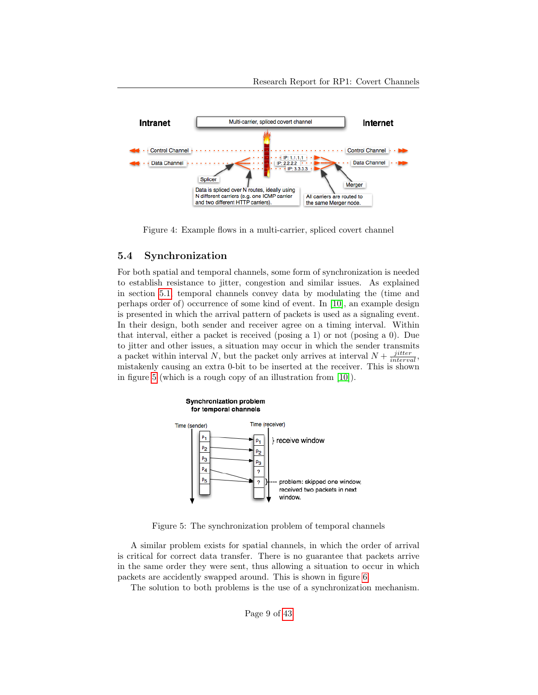

<span id="page-8-1"></span>Figure 4: Example flows in a multi-carrier, spliced covert channel

### <span id="page-8-0"></span>5.4 Synchronization

For both spatial and temporal channels, some form of synchronization is needed to establish resistance to jitter, congestion and similar issues. As explained in section [5.1,](#page-4-0) temporal channels convey data by modulating the (time and perhaps order of) occurrence of some kind of event. In [\[10\]](#page-26-9), an example design is presented in which the arrival pattern of packets is used as a signaling event. In their design, both sender and receiver agree on a timing interval. Within that interval, either a packet is received (posing a 1) or not (posing a 0). Due to jitter and other issues, a situation may occur in which the sender transmits a packet within interval N, but the packet only arrives at interval  $N + \frac{jitter}{interval}$ , mistakenly causing an extra 0-bit to be inserted at the receiver. This is shown in figure [5](#page-8-2) (which is a rough copy of an illustration from [\[10\]](#page-26-9)).



<span id="page-8-2"></span>Figure 5: The synchronization problem of temporal channels

A similar problem exists for spatial channels, in which the order of arrival is critical for correct data transfer. There is no guarantee that packets arrive in the same order they were sent, thus allowing a situation to occur in which packets are accidently swapped around. This is shown in figure [6.](#page-9-1)

The solution to both problems is the use of a synchronization mechanism.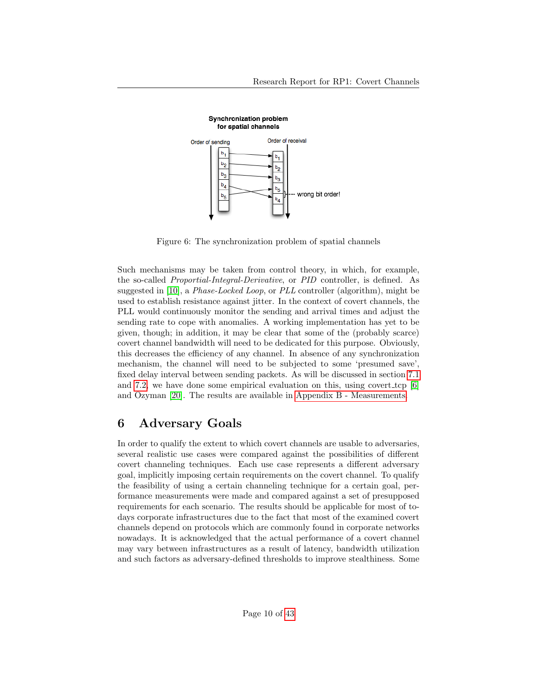

<span id="page-9-1"></span>Figure 6: The synchronization problem of spatial channels

Such mechanisms may be taken from control theory, in which, for example, the so-called Proportial-Integral-Derivative, or PID controller, is defined. As suggested in [\[10\]](#page-26-9), a Phase-Locked Loop, or PLL controller (algorithm), might be used to establish resistance against jitter. In the context of covert channels, the PLL would continuously monitor the sending and arrival times and adjust the sending rate to cope with anomalies. A working implementation has yet to be given, though; in addition, it may be clear that some of the (probably scarce) covert channel bandwidth will need to be dedicated for this purpose. Obviously, this decreases the efficiency of any channel. In absence of any synchronization mechanism, the channel will need to be subjected to some 'presumed save', fixed delay interval between sending packets. As will be discussed in section [7.1](#page-11-1) and [7.2,](#page-14-1) we have done some empirical evaluation on this, using covert tcp [\[6\]](#page-26-5) and Ozyman [\[20\]](#page-27-2). The results are available in [Appendix B - Measurements.](#page-30-0)

## <span id="page-9-0"></span>6 Adversary Goals

In order to qualify the extent to which covert channels are usable to adversaries, several realistic use cases were compared against the possibilities of different covert channeling techniques. Each use case represents a different adversary goal, implicitly imposing certain requirements on the covert channel. To qualify the feasibility of using a certain channeling technique for a certain goal, performance measurements were made and compared against a set of presupposed requirements for each scenario. The results should be applicable for most of todays corporate infrastructures due to the fact that most of the examined covert channels depend on protocols which are commonly found in corporate networks nowadays. It is acknowledged that the actual performance of a covert channel may vary between infrastructures as a result of latency, bandwidth utilization and such factors as adversary-defined thresholds to improve stealthiness. Some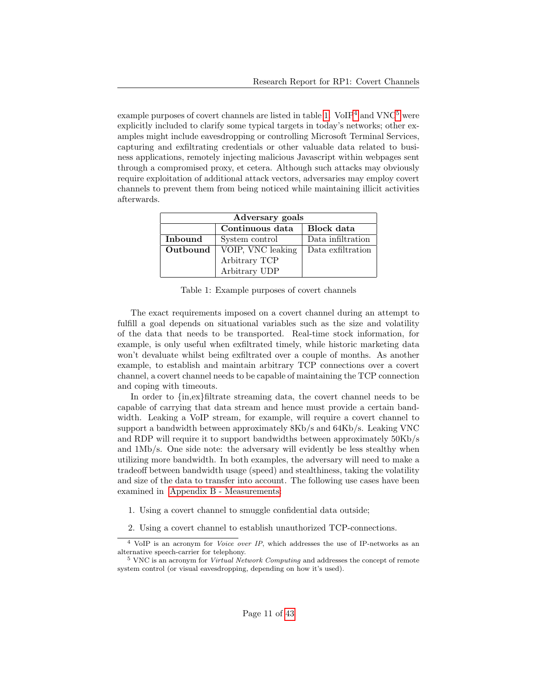example purposes of covert channels are listed in table [1.](#page-10-0)  $\text{VoIP}^4$  $\text{VoIP}^4$  and  $\text{VNC}^5$  $\text{VNC}^5$  were explicitly included to clarify some typical targets in today's networks; other examples might include eavesdropping or controlling Microsoft Terminal Services, capturing and exfiltrating credentials or other valuable data related to business applications, remotely injecting malicious Javascript within webpages sent through a compromised proxy, et cetera. Although such attacks may obviously require exploitation of additional attack vectors, adversaries may employ covert channels to prevent them from being noticed while maintaining illicit activities afterwards.

|          | Adversary goals                       |                   |
|----------|---------------------------------------|-------------------|
|          | Continuous data                       | Block data        |
| Inbound  | System control                        | Data infiltration |
| Outbound | VOIP, VNC leaking                     | Data exfiltration |
|          | Arbitrary TCP                         |                   |
|          | Arbitrary $\ensuremath{\mathsf{UDP}}$ |                   |

<span id="page-10-0"></span>Table 1: Example purposes of covert channels

The exact requirements imposed on a covert channel during an attempt to fulfill a goal depends on situational variables such as the size and volatility of the data that needs to be transported. Real-time stock information, for example, is only useful when exfiltrated timely, while historic marketing data won't devaluate whilst being exfiltrated over a couple of months. As another example, to establish and maintain arbitrary TCP connections over a covert channel, a covert channel needs to be capable of maintaining the TCP connection and coping with timeouts.

In order to  $\{in, ex\}$  filtrate streaming data, the covert channel needs to be capable of carrying that data stream and hence must provide a certain bandwidth. Leaking a VoIP stream, for example, will require a covert channel to support a bandwidth between approximately 8Kb/s and 64Kb/s. Leaking VNC and RDP will require it to support bandwidths between approximately 50Kb/s and 1Mb/s. One side note: the adversary will evidently be less stealthy when utilizing more bandwidth. In both examples, the adversary will need to make a tradeoff between bandwidth usage (speed) and stealthiness, taking the volatility and size of the data to transfer into account. The following use cases have been examined in [Appendix B - Measurements:](#page-30-0)

- 1. Using a covert channel to smuggle confidential data outside;
- 2. Using a covert channel to establish unauthorized TCP-connections.

<span id="page-10-1"></span><sup>&</sup>lt;sup>4</sup> VoIP is an acronym for *Voice over IP*, which addresses the use of IP-networks as an alternative speech-carrier for telephony.

<span id="page-10-2"></span><sup>&</sup>lt;sup>5</sup> VNC is an acronym for *Virtual Network Computing* and addresses the concept of remote system control (or visual eavesdropping, depending on how it's used).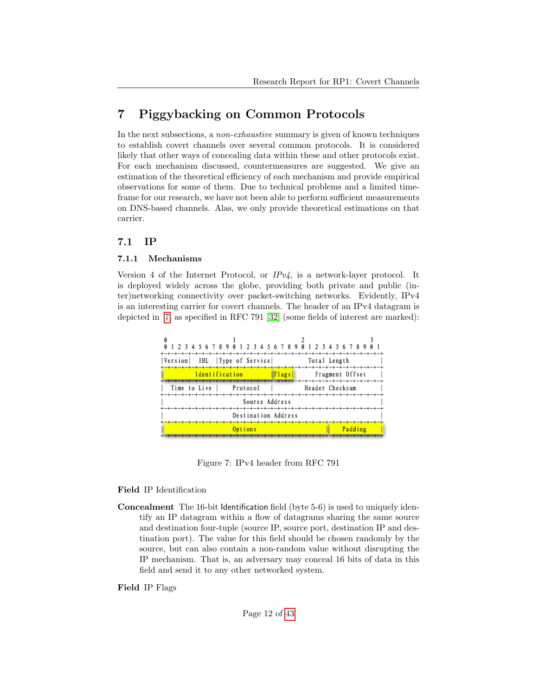# <span id="page-11-0"></span>7 Piggybacking on Common Protocols

In the next subsections, a non-exhaustive summary is given of known techniques to establish covert channels over several common protocols. It is considered likely that other ways of concealing data within these and other protocols exist. For each mechanism discussed, countermeasures are suggested. We give an estimation of the theoretical efficiency of each mechanism and provide empirical observations for some of them. Due to technical problems and a limited timeframe for our research, we have not been able to perform sufficient measurements on DNS-based channels. Alas, we only provide theoretical estimations on that carrier.

### <span id="page-11-1"></span>7.1 IP

#### <span id="page-11-2"></span>7.1.1 Mechanisms

Version 4 of the Internet Protocol, or  $IPv4$ , is a network-layer protocol. It is deployed widely across the globe, providing both private and public (inter)networking connectivity over packet-switching networks. Evidently, IPv4 is an interesting carrier for covert channels. The header of an IPv4 datagram is depicted in [7,](#page-11-3) as specified in RFC 791 [\[32\]](#page-27-11) (some fields of interest are marked):



<span id="page-11-3"></span>Figure 7: IPv4 header from RFC 791

Field IP Identification

Concealment The 16-bit Identification field (byte 5-6) is used to uniquely identify an IP datagram within a flow of datagrams sharing the same source and destination four-tuple (source IP, source port, destination IP and destination port). The value for this field should be chosen randomly by the source, but can also contain a non-random value without disrupting the IP mechanism. That is, an adversary may conceal 16 bits of data in this field and send it to any other networked system.

Field IP Flags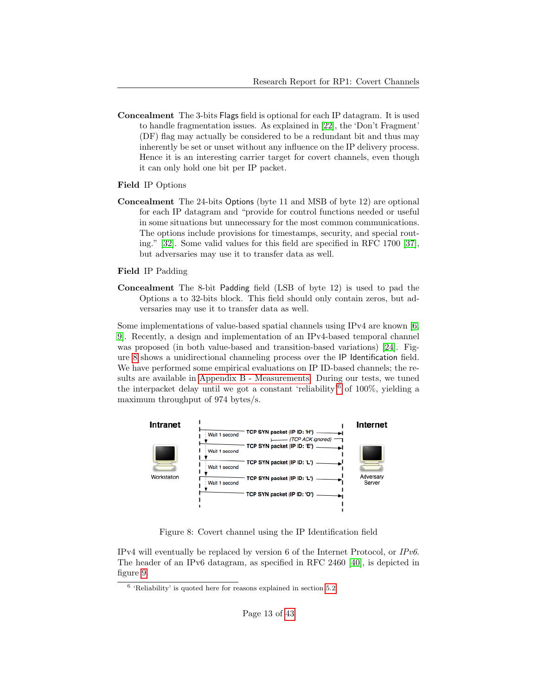- Concealment The 3-bits Flags field is optional for each IP datagram. It is used to handle fragmentation issues. As explained in [\[22\]](#page-27-12), the 'Don't Fragment' (DF) flag may actually be considered to be a redundant bit and thus may inherently be set or unset without any influence on the IP delivery process. Hence it is an interesting carrier target for covert channels, even though it can only hold one bit per IP packet.
- Field IP Options
- Concealment The 24-bits Options (byte 11 and MSB of byte 12) are optional for each IP datagram and "provide for control functions needed or useful in some situations but unnecessary for the most common communications. The options include provisions for timestamps, security, and special routing." [\[32\]](#page-27-11). Some valid values for this field are specified in RFC 1700 [\[37\]](#page-28-2), but adversaries may use it to transfer data as well.

#### Field IP Padding

Concealment The 8-bit Padding field (LSB of byte 12) is used to pad the Options a to 32-bits block. This field should only contain zeros, but adversaries may use it to transfer data as well.

Some implementations of value-based spatial channels using IPv4 are known [\[6,](#page-26-5) [9\]](#page-26-8). Recently, a design and implementation of an IPv4-based temporal channel was proposed (in both value-based and transition-based variations) [\[24\]](#page-27-3). Figure [8](#page-12-0) shows a unidirectional channeling process over the IP Identification field. We have performed some empirical evaluations on IP ID-based channels; the results are available in [Appendix B - Measurements.](#page-30-0) During our tests, we tuned the interpacket delay until we got a constant 'reliability'<sup>[6](#page-12-1)</sup> of  $100\%$ , yielding a maximum throughput of 974 bytes/s.



<span id="page-12-0"></span>Figure 8: Covert channel using the IP Identification field

IPv4 will eventually be replaced by version 6 of the Internet Protocol, or IPv6. The header of an IPv6 datagram, as specified in RFC 2460 [\[40\]](#page-28-3), is depicted in figure [9.](#page-13-0)

<span id="page-12-1"></span> $6$  'Reliability' is quoted here for reasons explained in section [5.2.](#page-5-0)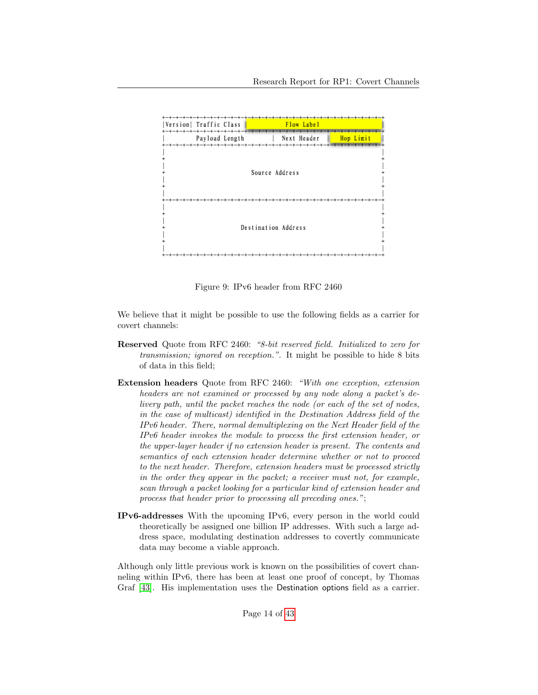

<span id="page-13-0"></span>Figure 9: IPv6 header from RFC 2460

We believe that it might be possible to use the following fields as a carrier for covert channels:

- Reserved Quote from RFC 2460: "8-bit reserved field. Initialized to zero for transmission; ignored on reception.". It might be possible to hide 8 bits of data in this field;
- Extension headers Quote from RFC 2460: "With one exception, extension headers are not examined or processed by any node along a packet's delivery path, until the packet reaches the node (or each of the set of nodes, in the case of multicast) identified in the Destination Address field of the IPv6 header. There, normal demultiplexing on the Next Header field of the IPv6 header invokes the module to process the first extension header, or the upper-layer header if no extension header is present. The contents and semantics of each extension header determine whether or not to proceed to the next header. Therefore, extension headers must be processed strictly in the order they appear in the packet; a receiver must not, for example, scan through a packet looking for a particular kind of extension header and process that header prior to processing all preceding ones.";
- IPv6-addresses With the upcoming IPv6, every person in the world could theoretically be assigned one billion IP addresses. With such a large address space, modulating destination addresses to covertly communicate data may become a viable approach.

Although only little previous work is known on the possibilities of covert channeling within IPv6, there has been at least one proof of concept, by Thomas Graf [\[43\]](#page-28-4). His implementation uses the Destination options field as a carrier.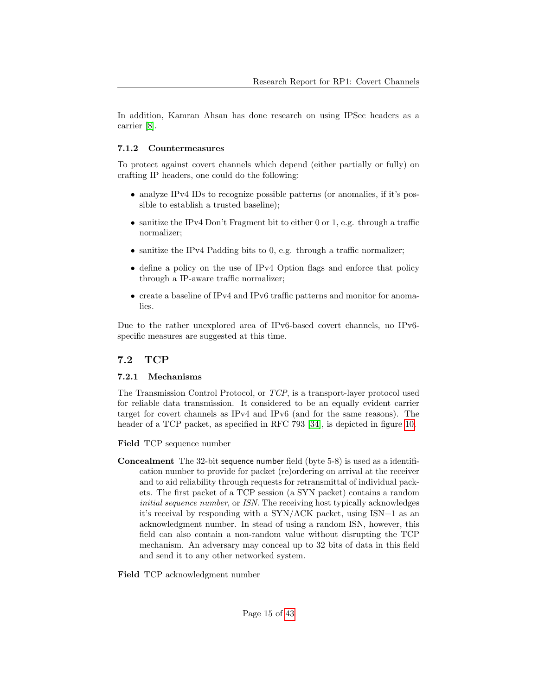In addition, Kamran Ahsan has done research on using IPSec headers as a carrier [\[8\]](#page-26-7).

#### <span id="page-14-0"></span>7.1.2 Countermeasures

To protect against covert channels which depend (either partially or fully) on crafting IP headers, one could do the following:

- analyze IPv4 IDs to recognize possible patterns (or anomalies, if it's possible to establish a trusted baseline);
- sanitize the IPv4 Don't Fragment bit to either 0 or 1, e.g. through a traffic normalizer;
- sanitize the IPv4 Padding bits to 0, e.g. through a traffic normalizer;
- define a policy on the use of IPv4 Option flags and enforce that policy through a IP-aware traffic normalizer;
- create a baseline of IPv4 and IPv6 traffic patterns and monitor for anomalies.

Due to the rather unexplored area of IPv6-based covert channels, no IPv6 specific measures are suggested at this time.

#### <span id="page-14-1"></span>7.2 TCP

#### <span id="page-14-2"></span>7.2.1 Mechanisms

The Transmission Control Protocol, or TCP, is a transport-layer protocol used for reliable data transmission. It considered to be an equally evident carrier target for covert channels as IPv4 and IPv6 (and for the same reasons). The header of a TCP packet, as specified in RFC 793 [\[34\]](#page-27-13), is depicted in figure [10.](#page-15-0)

Field TCP sequence number

Concealment The 32-bit sequence number field (byte 5-8) is used as a identification number to provide for packet (re)ordering on arrival at the receiver and to aid reliability through requests for retransmittal of individual packets. The first packet of a TCP session (a SYN packet) contains a random initial sequence number, or ISN. The receiving host typically acknowledges it's receival by responding with a SYN/ACK packet, using ISN+1 as an acknowledgment number. In stead of using a random ISN, however, this field can also contain a non-random value without disrupting the TCP mechanism. An adversary may conceal up to 32 bits of data in this field and send it to any other networked system.

Field TCP acknowledgment number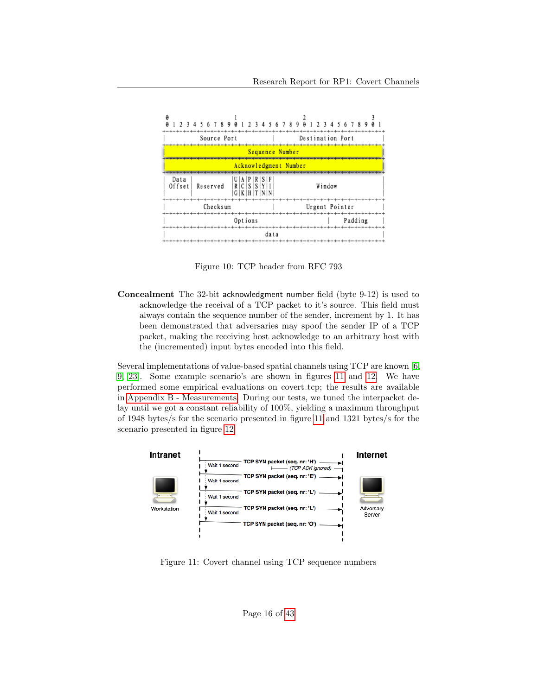

<span id="page-15-0"></span>Figure 10: TCP header from RFC 793

Concealment The 32-bit acknowledgment number field (byte 9-12) is used to acknowledge the receival of a TCP packet to it's source. This field must always contain the sequence number of the sender, increment by 1. It has been demonstrated that adversaries may spoof the sender IP of a TCP packet, making the receiving host acknowledge to an arbitrary host with the (incremented) input bytes encoded into this field.

Several implementations of value-based spatial channels using TCP are known [\[6,](#page-26-5) [9,](#page-26-8) [23\]](#page-27-14). Some example scenario's are shown in figures [11](#page-15-1) and [12.](#page-16-0) We have performed some empirical evaluations on covert tcp; the results are available in [Appendix B - Measurements.](#page-30-0) During our tests, we tuned the interpacket delay until we got a constant reliability of 100%, yielding a maximum throughput of 1948 bytes/s for the scenario presented in figure [11](#page-15-1) and 1321 bytes/s for the scenario presented in figure [12.](#page-16-0)



<span id="page-15-1"></span>Figure 11: Covert channel using TCP sequence numbers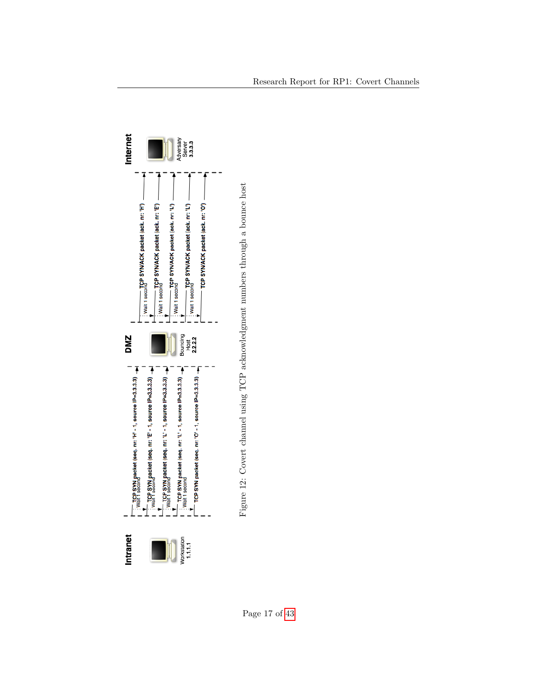

Figure 12: Covert channel using TCP acknowledgment numbers through a bounce host

Figure 12: Covert channel using TCP acknowledgment numbers through a bounce host

<span id="page-16-0"></span>Page 17 of [43](#page-42-1)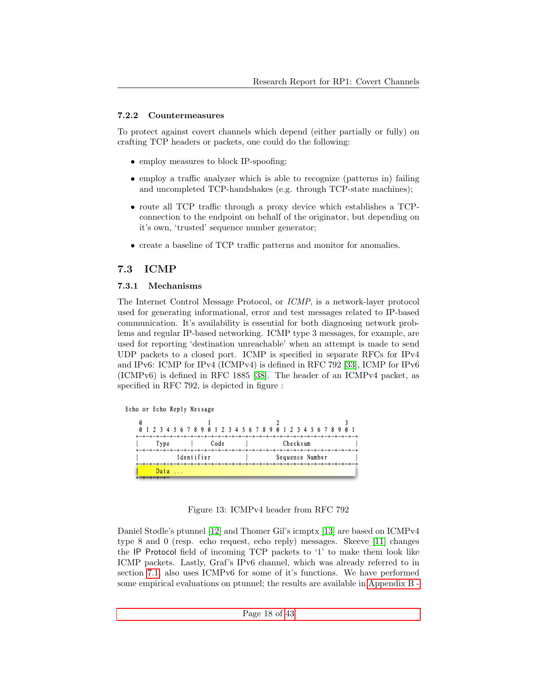### <span id="page-17-0"></span>7.2.2 Countermeasures

To protect against covert channels which depend (either partially or fully) on crafting TCP headers or packets, one could do the following:

- employ measures to block IP-spoofing;
- employ a traffic analyzer which is able to recognize (patterns in) failing and uncompleted TCP-handshakes (e.g. through TCP-state machines);
- route all TCP traffic through a proxy device which establishes a TCPconnection to the endpoint on behalf of the originator, but depending on it's own, 'trusted' sequence number generator;
- create a baseline of TCP traffic patterns and monitor for anomalies.

### <span id="page-17-1"></span>7.3 ICMP

#### <span id="page-17-2"></span>7.3.1 Mechanisms

The Internet Control Message Protocol, or ICMP, is a network-layer protocol used for generating informational, error and test messages related to IP-based communication. It's availability is essential for both diagnosing network problems and regular IP-based networking. ICMP type 3 messages, for example, are used for reporting 'destination unreachable' when an attempt is made to send UDP packets to a closed port. ICMP is specified in separate RFCs for IPv4 and IPv6: ICMP for IPv4 (ICMPv4) is defined in RFC 792 [\[33\]](#page-27-15), ICMP for IPv6 (ICMPv6) is defined in RFC 1885 [\[38\]](#page-28-5). The header of an ICMPv4 packet, as specified in RFC 792, is depicted in figure :

Echo or Echo Reply Message

| 8 1 2 3 4 5 6 7 8 9 8 1 2 3 4 5 6 7 8 9 8 1 2 3 4 5 6 7 8 9 8 1 |                                      |  |  |  |  |  |  |  |  |  |  |          |  |  |  |  |  |  |  |  |  |  |  |  |  |
|-----------------------------------------------------------------|--------------------------------------|--|--|--|--|--|--|--|--|--|--|----------|--|--|--|--|--|--|--|--|--|--|--|--|--|
| Code<br>Type                                                    |                                      |  |  |  |  |  |  |  |  |  |  | Checksum |  |  |  |  |  |  |  |  |  |  |  |  |  |
|                                                                 | Identifier<br>Sequence Number        |  |  |  |  |  |  |  |  |  |  |          |  |  |  |  |  |  |  |  |  |  |  |  |  |
|                                                                 | +-+-+-+-+-+-+-+-+-+<br>Data $\ldots$ |  |  |  |  |  |  |  |  |  |  |          |  |  |  |  |  |  |  |  |  |  |  |  |  |

<span id="page-17-3"></span>Figure 13: ICMPv4 header from RFC 792

Daniel Stødle's ptunnel [\[12\]](#page-26-11) and Thomer Gil's icmptx [\[13\]](#page-26-12) are based on ICMPv4 type 8 and 0 (resp. echo request, echo reply) messages. Skeeve [\[11\]](#page-26-10) changes the IP Protocol field of incoming TCP packets to '1' to make them look like ICMP packets. Lastly, Graf's IPv6 channel, which was already referred to in section [7.1,](#page-11-1) also uses ICMPv6 for some of it's functions. We have performed some empirical evaluations on ptunnel; the results are available in [Appendix B -](#page-30-0)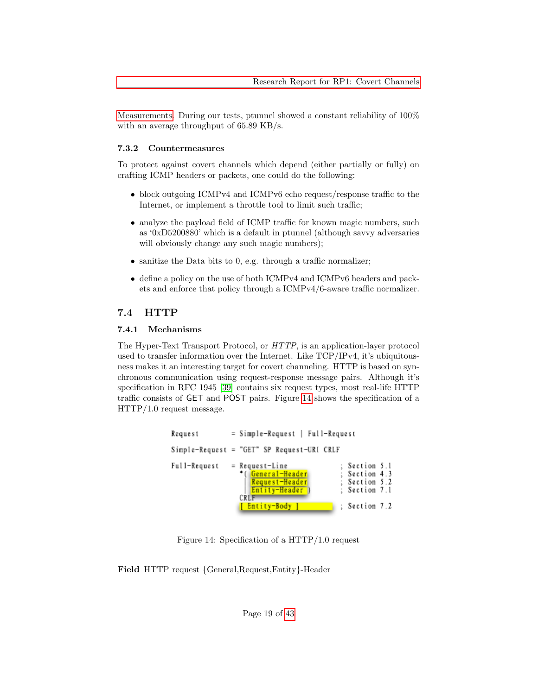[Measurements.](#page-30-0) During our tests, ptunnel showed a constant reliability of 100% with an average throughput of 65.89 KB/s.

#### <span id="page-18-0"></span>7.3.2 Countermeasures

To protect against covert channels which depend (either partially or fully) on crafting ICMP headers or packets, one could do the following:

- block outgoing ICMPv4 and ICMPv6 echo request/response traffic to the Internet, or implement a throttle tool to limit such traffic;
- analyze the payload field of ICMP traffic for known magic numbers, such as '0xD5200880' which is a default in ptunnel (although savvy adversaries will obviously change any such magic numbers);
- sanitize the Data bits to 0, e.g. through a traffic normalizer;
- define a policy on the use of both ICMPv4 and ICMPv6 headers and packets and enforce that policy through a ICMPv4/6-aware traffic normalizer.

### <span id="page-18-1"></span>7.4 HTTP

#### <span id="page-18-2"></span>7.4.1 Mechanisms

The Hyper-Text Transport Protocol, or HTTP, is an application-layer protocol used to transfer information over the Internet. Like TCP/IPv4, it's ubiquitousness makes it an interesting target for covert channeling. HTTP is based on synchronous communication using request-response message pairs. Although it's specification in RFC 1945 [\[39\]](#page-28-6) contains six request types, most real-life HTTP traffic consists of GET and POST pairs. Figure [14](#page-18-3) shows the specification of a HTTP/1.0 request message.

```
= Simple-Request | Full-Request
Request
Simple-Request = "GET" SP Request-URI CRLF
                 = Request-Line
Full-Request
                                                  Section 5.1
                       <u>General-Header</u><br>Request-Header
                                                  Section 4.3
                                                  Section 5.2
                       Entity-Header
                                                  Section 7.1
                   CRLF
                     Entity-Body ]
                                                ; Section 7.2
```
<span id="page-18-3"></span>Figure 14: Specification of a HTTP/1.0 request

Field HTTP request {General,Request,Entity}-Header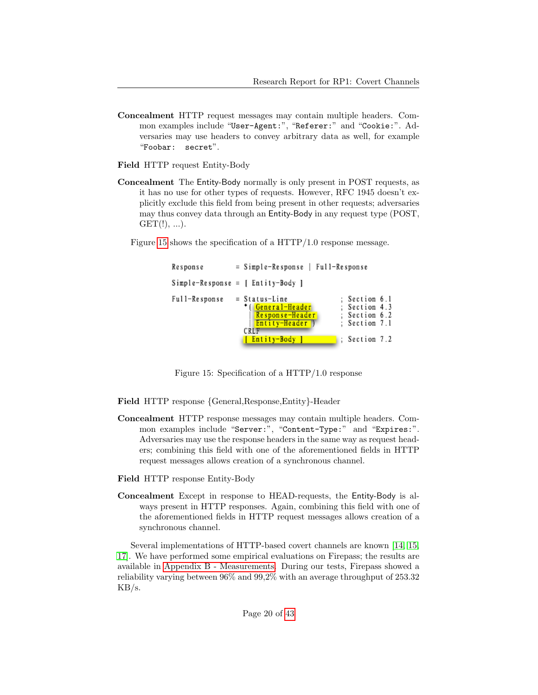Concealment HTTP request messages may contain multiple headers. Common examples include "User-Agent:", "Referer:" and "Cookie:". Adversaries may use headers to convey arbitrary data as well, for example "Foobar: secret".

Field HTTP request Entity-Body

Concealment The Entity-Body normally is only present in POST requests, as it has no use for other types of requests. However, RFC 1945 doesn't explicitly exclude this field from being present in other requests; adversaries may thus convey data through an Entity-Body in any request type (POST,  $GET(!), ...$ ).

Figure [15](#page-19-0) shows the specification of a HTTP/1.0 response message.

```
= Simple-Response | Full-Response
Response
Simple-Response = [Entity-Body ]
Full-Response
                = Status-Line
                                            Section 6.1
                    Ceneral-Header
                                            Section 4.3
                     Response-Header
                                            Section 6.2
                     Entity-Header
                                            Section 7.1
                  CRLF
                   Entity-Body
                                          ; Section 7.2
```
<span id="page-19-0"></span>Figure 15: Specification of a HTTP/1.0 response

Field HTTP response {General,Response,Entity}-Header

Concealment HTTP response messages may contain multiple headers. Common examples include "Server:", "Content-Type:" and "Expires:". Adversaries may use the response headers in the same way as request headers; combining this field with one of the aforementioned fields in HTTP request messages allows creation of a synchronous channel.

Field HTTP response Entity-Body

Concealment Except in response to HEAD-requests, the Entity-Body is always present in HTTP responses. Again, combining this field with one of the aforementioned fields in HTTP request messages allows creation of a synchronous channel.

Several implementations of HTTP-based covert channels are known [\[14,](#page-26-13) [15,](#page-26-14) [17\]](#page-26-16). We have performed some empirical evaluations on Firepass; the results are available in [Appendix B - Measurements.](#page-30-0) During our tests, Firepass showed a reliability varying between 96% and 99,2% with an average throughput of 253.32  $KB/s.$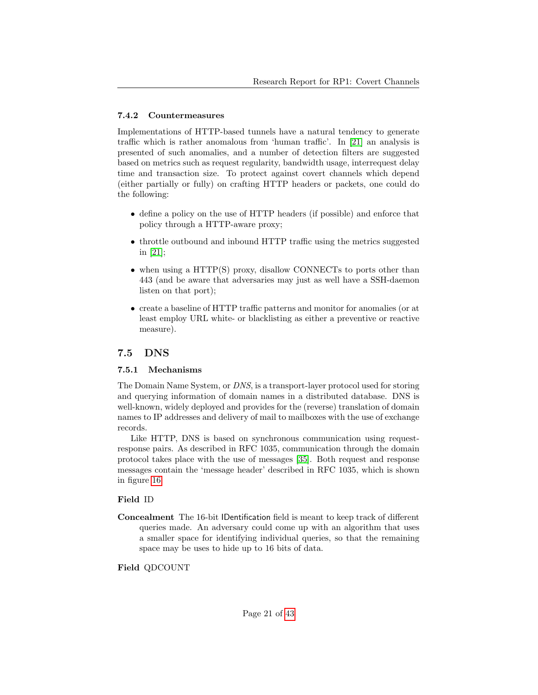### <span id="page-20-0"></span>7.4.2 Countermeasures

Implementations of HTTP-based tunnels have a natural tendency to generate traffic which is rather anomalous from 'human traffic'. In [\[21\]](#page-27-16) an analysis is presented of such anomalies, and a number of detection filters are suggested based on metrics such as request regularity, bandwidth usage, interrequest delay time and transaction size. To protect against covert channels which depend (either partially or fully) on crafting HTTP headers or packets, one could do the following:

- define a policy on the use of HTTP headers (if possible) and enforce that policy through a HTTP-aware proxy;
- throttle outbound and inbound HTTP traffic using the metrics suggested in [\[21\]](#page-27-16);
- when using a HTTP(S) proxy, disallow CONNECTs to ports other than 443 (and be aware that adversaries may just as well have a SSH-daemon listen on that port);
- create a baseline of HTTP traffic patterns and monitor for anomalies (or at least employ URL white- or blacklisting as either a preventive or reactive measure).

## <span id="page-20-1"></span>7.5 DNS

### <span id="page-20-2"></span>7.5.1 Mechanisms

The Domain Name System, or DNS, is a transport-layer protocol used for storing and querying information of domain names in a distributed database. DNS is well-known, widely deployed and provides for the (reverse) translation of domain names to IP addresses and delivery of mail to mailboxes with the use of exchange records.

Like HTTP, DNS is based on synchronous communication using requestresponse pairs. As described in RFC 1035, communication through the domain protocol takes place with the use of messages [\[35\]](#page-28-7). Both request and response messages contain the 'message header' described in RFC 1035, which is shown in figure [16.](#page-21-0)

### Field ID

Concealment The 16-bit IDentification field is meant to keep track of different queries made. An adversary could come up with an algorithm that uses a smaller space for identifying individual queries, so that the remaining space may be uses to hide up to 16 bits of data.

Field QDCOUNT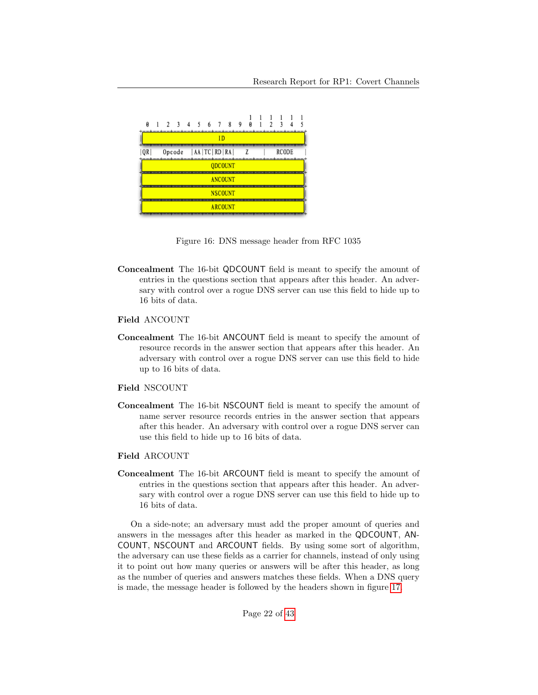| ū | $\blacksquare$ | 234567898                  |  |  |  |  |    |                |  |   |  | $\overline{2}$ |       |  |  |
|---|----------------|----------------------------|--|--|--|--|----|----------------|--|---|--|----------------|-------|--|--|
|   |                |                            |  |  |  |  | ID |                |  |   |  |                |       |  |  |
|   |                | Opcode   AA   TC   RD   RA |  |  |  |  |    |                |  | Z |  |                | RCODE |  |  |
|   | <b>ODCOUNT</b> |                            |  |  |  |  |    |                |  |   |  |                |       |  |  |
|   | <b>ANCOUNT</b> |                            |  |  |  |  |    |                |  |   |  |                |       |  |  |
|   |                |                            |  |  |  |  |    | <b>NSCOUNT</b> |  |   |  |                |       |  |  |
|   |                |                            |  |  |  |  |    | <b>ARCOUNT</b> |  |   |  |                |       |  |  |

<span id="page-21-0"></span>Figure 16: DNS message header from RFC 1035

Concealment The 16-bit QDCOUNT field is meant to specify the amount of entries in the questions section that appears after this header. An adversary with control over a rogue DNS server can use this field to hide up to 16 bits of data.

#### Field ANCOUNT

Concealment The 16-bit ANCOUNT field is meant to specify the amount of resource records in the answer section that appears after this header. An adversary with control over a rogue DNS server can use this field to hide up to 16 bits of data.

### Field NSCOUNT

Concealment The 16-bit NSCOUNT field is meant to specify the amount of name server resource records entries in the answer section that appears after this header. An adversary with control over a rogue DNS server can use this field to hide up to 16 bits of data.

### Field ARCOUNT

Concealment The 16-bit ARCOUNT field is meant to specify the amount of entries in the questions section that appears after this header. An adversary with control over a rogue DNS server can use this field to hide up to 16 bits of data.

On a side-note; an adversary must add the proper amount of queries and answers in the messages after this header as marked in the QDCOUNT, AN-COUNT, NSCOUNT and ARCOUNT fields. By using some sort of algorithm, the adversary can use these fields as a carrier for channels, instead of only using it to point out how many queries or answers will be after this header, as long as the number of queries and answers matches these fields. When a DNS query is made, the message header is followed by the headers shown in figure [17.](#page-22-0)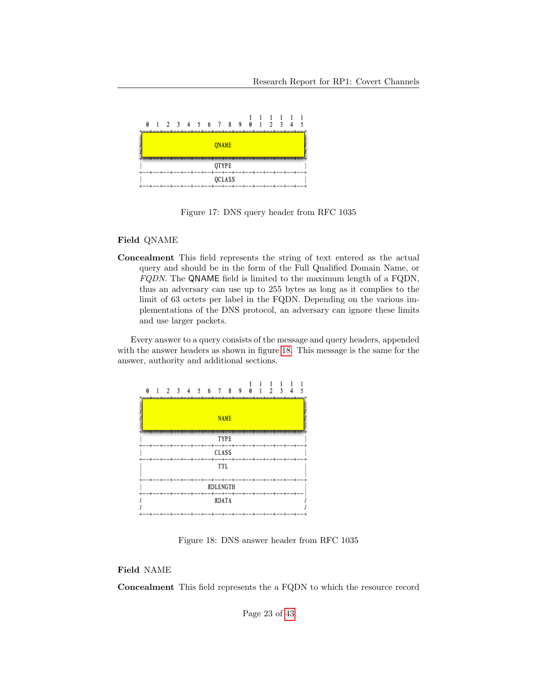

<span id="page-22-0"></span>Figure 17: DNS query header from RFC 1035

#### Field QNAME

Concealment This field represents the string of text entered as the actual query and should be in the form of the Full Qualified Domain Name, or FQDN. The QNAME field is limited to the maximum length of a FQDN, thus an adversary can use up to 255 bytes as long as it complies to the limit of 63 octets per label in the FQDN. Depending on the various implementations of the DNS protocol, an adversary can ignore these limits and use larger packets.

Every answer to a query consists of the message and query headers, appended with the answer headers as shown in figure [18.](#page-22-1) This message is the same for the answer, authority and additional sections.



<span id="page-22-1"></span>Figure 18: DNS answer header from RFC 1035

### Field NAME

Concealment This field represents the a FQDN to which the resource record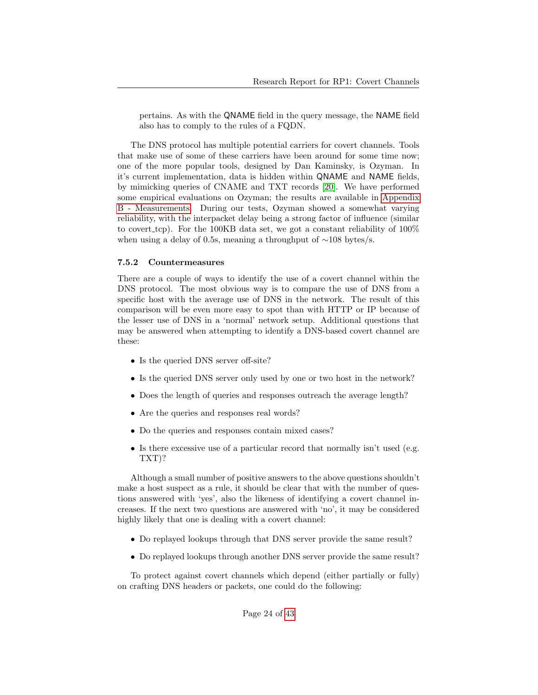pertains. As with the QNAME field in the query message, the NAME field also has to comply to the rules of a FQDN.

The DNS protocol has multiple potential carriers for covert channels. Tools that make use of some of these carriers have been around for some time now; one of the more popular tools, designed by Dan Kaminsky, is Ozyman. In it's current implementation, data is hidden within QNAME and NAME fields, by mimicking queries of CNAME and TXT records [\[20\]](#page-27-2). We have performed some empirical evaluations on Ozyman; the results are available in [Appendix](#page-30-0) [B - Measurements.](#page-30-0) During our tests, Ozyman showed a somewhat varying reliability, with the interpacket delay being a strong factor of influence (similar to covert tcp). For the 100KB data set, we got a constant reliability of  $100\%$ when using a delay of 0.5s, meaning a throughput of ∼108 bytes/s.

#### <span id="page-23-0"></span>7.5.2 Countermeasures

There are a couple of ways to identify the use of a covert channel within the DNS protocol. The most obvious way is to compare the use of DNS from a specific host with the average use of DNS in the network. The result of this comparison will be even more easy to spot than with HTTP or IP because of the lesser use of DNS in a 'normal' network setup. Additional questions that may be answered when attempting to identify a DNS-based covert channel are these:

- Is the queried DNS server off-site?
- Is the queried DNS server only used by one or two host in the network?
- Does the length of queries and responses outreach the average length?
- Are the queries and responses real words?
- Do the queries and responses contain mixed cases?
- Is there excessive use of a particular record that normally isn't used (e.g. TXT)?

Although a small number of positive answers to the above questions shouldn't make a host suspect as a rule, it should be clear that with the number of questions answered with 'yes', also the likeness of identifying a covert channel increases. If the next two questions are answered with 'no', it may be considered highly likely that one is dealing with a covert channel:

- Do replayed lookups through that DNS server provide the same result?
- Do replayed lookups through another DNS server provide the same result?

To protect against covert channels which depend (either partially or fully) on crafting DNS headers or packets, one could do the following: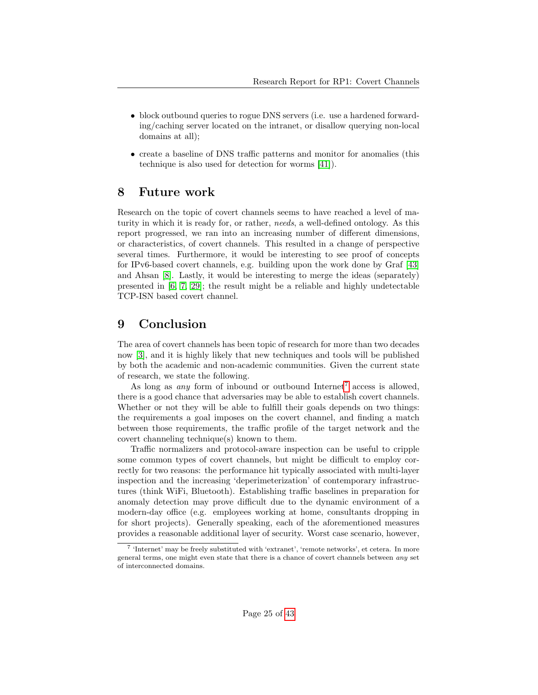- block outbound queries to rogue DNS servers (i.e. use a hardened forwarding/caching server located on the intranet, or disallow querying non-local domains at all);
- create a baseline of DNS traffic patterns and monitor for anomalies (this technique is also used for detection for worms [\[41\]](#page-28-8)).

## <span id="page-24-0"></span>8 Future work

Research on the topic of covert channels seems to have reached a level of maturity in which it is ready for, or rather, needs, a well-defined ontology. As this report progressed, we ran into an increasing number of different dimensions, or characteristics, of covert channels. This resulted in a change of perspective several times. Furthermore, it would be interesting to see proof of concepts for IPv6-based covert channels, e.g. building upon the work done by Graf [\[43\]](#page-28-4) and Ahsan [\[8\]](#page-26-7). Lastly, it would be interesting to merge the ideas (separately) presented in [\[6,](#page-26-5) [7,](#page-26-6) [29\]](#page-27-5); the result might be a reliable and highly undetectable TCP-ISN based covert channel.

## <span id="page-24-1"></span>9 Conclusion

The area of covert channels has been topic of research for more than two decades now [\[3\]](#page-26-2), and it is highly likely that new techniques and tools will be published by both the academic and non-academic communities. Given the current state of research, we state the following.

As long as *any* form of inbound or outbound Internet<sup>[7](#page-24-2)</sup> access is allowed, there is a good chance that adversaries may be able to establish covert channels. Whether or not they will be able to fulfill their goals depends on two things: the requirements a goal imposes on the covert channel, and finding a match between those requirements, the traffic profile of the target network and the covert channeling technique(s) known to them.

Traffic normalizers and protocol-aware inspection can be useful to cripple some common types of covert channels, but might be difficult to employ correctly for two reasons: the performance hit typically associated with multi-layer inspection and the increasing 'deperimeterization' of contemporary infrastructures (think WiFi, Bluetooth). Establishing traffic baselines in preparation for anomaly detection may prove difficult due to the dynamic environment of a modern-day office (e.g. employees working at home, consultants dropping in for short projects). Generally speaking, each of the aforementioned measures provides a reasonable additional layer of security. Worst case scenario, however,

<span id="page-24-2"></span><sup>7</sup> 'Internet' may be freely substituted with 'extranet', 'remote networks', et cetera. In more general terms, one might even state that there is a chance of covert channels between any set of interconnected domains.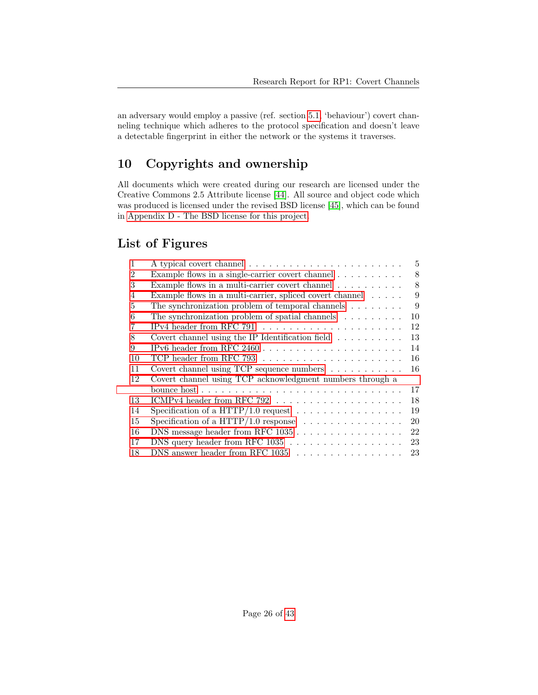an adversary would employ a passive (ref. section [5.1,](#page-4-0) 'behaviour') covert channeling technique which adheres to the protocol specification and doesn't leave a detectable fingerprint in either the network or the systems it traverses.

# <span id="page-25-0"></span>10 Copyrights and ownership

All documents which were created during our research are licensed under the Creative Commons 2.5 Attribute license [\[44\]](#page-28-9). All source and object code which was produced is licensed under the revised BSD license [\[45\]](#page-28-10), which can be found in [Appendix D - The BSD license for this project.](#page-42-0)

# List of Figures

| 1  |                                                                             | 5  |
|----|-----------------------------------------------------------------------------|----|
| 2  | Example flows in a single-carrier covert channel $\ldots \ldots \ldots$     | 8  |
| 3  | Example flows in a multi-carrier covert channel $\ldots \ldots \ldots$      | 8  |
| 4  | Example flows in a multi-carrier, spliced covert channel $\ldots$ .         | 9  |
| 5  | The synchronization problem of temporal channels $\ldots \ldots$            | 9  |
| 6  | The synchronization problem of spatial channels $\ldots \ldots \ldots$      | 10 |
| 7  | IPv4 header from RFC 791 $\ldots \ldots \ldots \ldots \ldots \ldots \ldots$ | 12 |
| 8  | Covert channel using the IP Identification field $\ldots \ldots \ldots$     | 13 |
| 9  |                                                                             | 14 |
| 10 |                                                                             | 16 |
| 11 | Covert channel using TCP sequence numbers $\ldots \ldots \ldots$            | 16 |
| 12 | Covert channel using TCP acknowledgment numbers through a                   |    |
|    |                                                                             | 17 |
| 13 |                                                                             | 18 |
| 14 | Specification of a HTTP/1.0 request $\dots \dots \dots \dots \dots \dots$   | 19 |
| 15 | Specification of a HTTP/1.0 response $\ldots \ldots \ldots \ldots \ldots$   | 20 |
| 16 |                                                                             | 22 |
| 17 |                                                                             | 23 |
| 18 |                                                                             | 23 |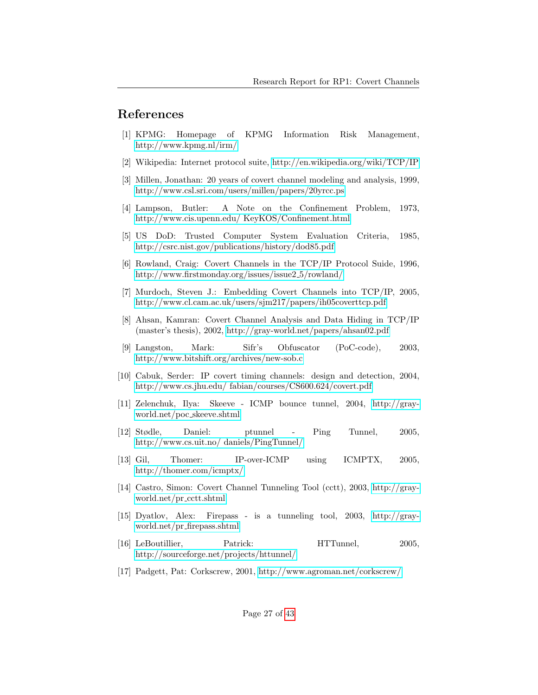## References

- <span id="page-26-0"></span>[1] KPMG: Homepage of KPMG Information Risk Management, <http://www.kpmg.nl/irm/>
- <span id="page-26-1"></span>[2] Wikipedia: Internet protocol suite,<http://en.wikipedia.org/wiki/TCP/IP>
- <span id="page-26-2"></span>[3] Millen, Jonathan: 20 years of covert channel modeling and analysis, 1999, <http://www.csl.sri.com/users/millen/papers/20yrcc.ps>
- <span id="page-26-3"></span>[4] Lampson, Butler: A Note on the Confinement Problem, 1973, [http://www.cis.upenn.edu/ KeyKOS/Confinement.html](http://www.cis.upenn.edu/~KeyKOS/Confinement.html)
- <span id="page-26-4"></span>[5] US DoD: Trusted Computer System Evaluation Criteria, 1985, <http://csrc.nist.gov/publications/history/dod85.pdf>
- <span id="page-26-5"></span>[6] Rowland, Craig: Covert Channels in the TCP/IP Protocol Suide, 1996, [http://www.firstmonday.org/issues/issue2](http://www.firstmonday.org/issues/issue2_5/rowland/) 5/rowland/
- <span id="page-26-6"></span>[7] Murdoch, Steven J.: Embedding Covert Channels into TCP/IP, 2005, <http://www.cl.cam.ac.uk/users/sjm217/papers/ih05coverttcp.pdf>
- <span id="page-26-7"></span>[8] Ahsan, Kamran: Covert Channel Analysis and Data Hiding in TCP/IP (master's thesis), 2002,<http://gray-world.net/papers/ahsan02.pdf>
- <span id="page-26-8"></span>[9] Langston, Mark: Sifr's Obfuscator (PoC-code), 2003, <http://www.bitshift.org/archives/new-sob.c>
- <span id="page-26-9"></span>[10] Cabuk, Serder: IP covert timing channels: design and detection, 2004, [http://www.cs.jhu.edu/ fabian/courses/CS600.624/covert.pdf](http://www.cs.jhu.edu/~fabian/courses/CS600.624/covert.pdf)
- <span id="page-26-10"></span>[11] Zelenchuk, Ilya: Skeeve - ICMP bounce tunnel, 2004, [http://gray](http://gray-world.net/poc_skeeve.shtml)[world.net/poc](http://gray-world.net/poc_skeeve.shtml) skeeve.shtml
- <span id="page-26-11"></span>[12] Stødle, Daniel: ptunnel - Ping Tunnel, 2005, [http://www.cs.uit.no/ daniels/PingTunnel/](http://www.cs.uit.no/~daniels/PingTunnel/)
- <span id="page-26-12"></span>[13] Gil, Thomer: IP-over-ICMP using ICMPTX, 2005, <http://thomer.com/icmptx/>
- <span id="page-26-13"></span>[14] Castro, Simon: Covert Channel Tunneling Tool (cctt), 2003, [http://gray](http://gray-world.net/pr_cctt.shtml)[world.net/pr](http://gray-world.net/pr_cctt.shtml)\_cctt.shtml
- <span id="page-26-14"></span>[15] Dyatlov, Alex: Firepass - is a tunneling tool, 2003, [http://gray](http://gray-world.net/pr_firepass.shtml)world.net/pr [firepass.shtml](http://gray-world.net/pr_firepass.shtml)
- <span id="page-26-15"></span>[16] LeBoutillier, Patrick: HTTunnel, 2005, <http://sourceforge.net/projects/httunnel/>
- <span id="page-26-16"></span>[17] Padgett, Pat: Corkscrew, 2001,<http://www.agroman.net/corkscrew/>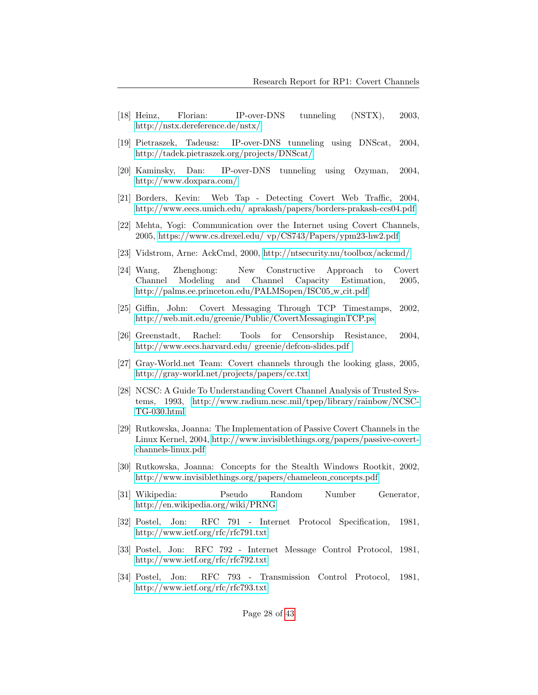- <span id="page-27-0"></span>[18] Heinz, Florian: IP-over-DNS tunneling (NSTX), 2003, <http://nstx.dereference.de/nstx/>
- <span id="page-27-1"></span>[19] Pietraszek, Tadeusz: IP-over-DNS tunneling using DNScat, 2004, <http://tadek.pietraszek.org/projects/DNScat/>
- <span id="page-27-2"></span>[20] Kaminsky, Dan: IP-over-DNS tunneling using Ozyman, 2004, <http://www.doxpara.com/>
- <span id="page-27-16"></span>[21] Borders, Kevin: Web Tap - Detecting Covert Web Traffic, 2004, [http://www.eecs.umich.edu/ aprakash/papers/borders-prakash-ccs04.pdf](http://www.eecs.umich.edu/~aprakash/papers/borders-prakash-ccs04.pdf)
- <span id="page-27-12"></span>[22] Mehta, Yogi: Communication over the Internet using Covert Channels, 2005, [https://www.cs.drexel.edu/ vp/CS743/Papers/ypm23-hw2.pdf](https://www.cs.drexel.edu/~vp/CS743/Papers/ypm23-hw2.pdf)
- <span id="page-27-14"></span>[23] Vidstrom, Arne: AckCmd, 2000,<http://ntsecurity.nu/toolbox/ackcmd/>
- <span id="page-27-3"></span>[24] Wang, Zhenghong: New Constructive Approach to Covert Channel Modeling and Channel Capacity Estimation, 2005, [http://palms.ee.princeton.edu/PALMSopen/ISC05](http://palms.ee.princeton.edu/PALMSopen/ISC05_w_cit.pdf) w cit.pdf
- <span id="page-27-4"></span>[25] Giffin, John: Covert Messaging Through TCP Timestamps, 2002, <http://web.mit.edu/greenie/Public/CovertMessaginginTCP.ps>
- <span id="page-27-8"></span>[26] Greenstadt, Rachel: Tools for Censorship Resistance, 2004, [http://www.eecs.harvard.edu/ greenie/defcon-slides.pdf](http://www.eecs.harvard.edu/~greenie/defcon-slides.pdf )
- <span id="page-27-10"></span>[27] Gray-World.net Team: Covert channels through the looking glass, 2005, <http://gray-world.net/projects/papers/cc.txt>
- <span id="page-27-7"></span>[28] NCSC: A Guide To Understanding Covert Channel Analysis of Trusted Systems, 1993, [http://www.radium.ncsc.mil/tpep/library/rainbow/NCSC-](http://www.radium.ncsc.mil/tpep/library/rainbow/NCSC-TG-030.html)[TG-030.html](http://www.radium.ncsc.mil/tpep/library/rainbow/NCSC-TG-030.html)
- <span id="page-27-5"></span>[29] Rutkowska, Joanna: The Implementation of Passive Covert Channels in the Linux Kernel, 2004, [http://www.invisiblethings.org/papers/passive-covert](http://www.invisiblethings.org/papers/passive-covert-channels-linux.pdf)[channels-linux.pdf](http://www.invisiblethings.org/papers/passive-covert-channels-linux.pdf)
- <span id="page-27-6"></span>[30] Rutkowska, Joanna: Concepts for the Stealth Windows Rootkit, 2002, [http://www.invisiblethings.org/papers/chameleon](http://www.invisiblethings.org/papers/chameleon_concepts.pdf) concepts.pdf
- <span id="page-27-9"></span>[31] Wikipedia: Pseudo Random Number Generator, <http://en.wikipedia.org/wiki/PRNG>
- <span id="page-27-11"></span>[32] Postel, Jon: RFC 791 - Internet Protocol Specification, 1981, <http://www.ietf.org/rfc/rfc791.txt>
- <span id="page-27-15"></span>[33] Postel, Jon: RFC 792 - Internet Message Control Protocol, 1981, <http://www.ietf.org/rfc/rfc792.txt>
- <span id="page-27-13"></span>[34] Postel, Jon: RFC 793 - Transmission Control Protocol, 1981, <http://www.ietf.org/rfc/rfc793.txt>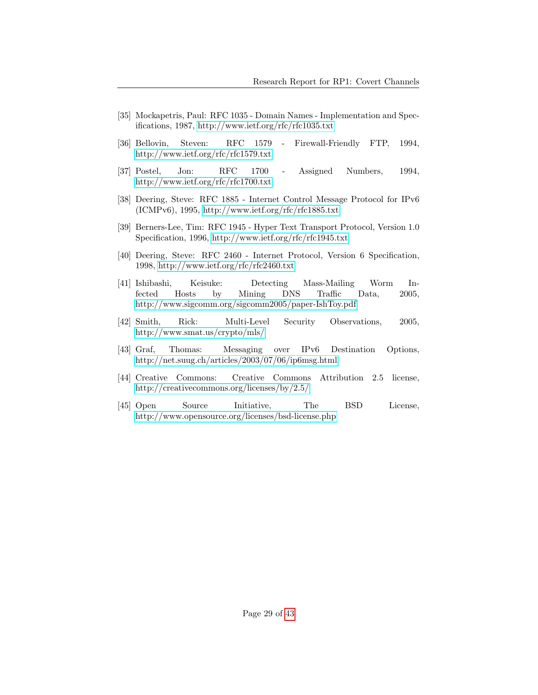- <span id="page-28-7"></span>[35] Mockapetris, Paul: RFC 1035 - Domain Names - Implementation and Specifications, 1987,<http://www.ietf.org/rfc/rfc1035.txt>
- <span id="page-28-1"></span>[36] Bellovin, Steven: RFC 1579 - Firewall-Friendly FTP, 1994, <http://www.ietf.org/rfc/rfc1579.txt>
- <span id="page-28-2"></span>[37] Postel, Jon: RFC 1700 - Assigned Numbers, 1994, <http://www.ietf.org/rfc/rfc1700.txt>
- <span id="page-28-5"></span>[38] Deering, Steve: RFC 1885 - Internet Control Message Protocol for IPv6 (ICMPv6), 1995,<http://www.ietf.org/rfc/rfc1885.txt>
- <span id="page-28-6"></span>[39] Berners-Lee, Tim: RFC 1945 - Hyper Text Transport Protocol, Version 1.0 Specification, 1996,<http://www.ietf.org/rfc/rfc1945.txt>
- <span id="page-28-3"></span>[40] Deering, Steve: RFC 2460 - Internet Protocol, Version 6 Specification, 1998,<http://www.ietf.org/rfc/rfc2460.txt>
- <span id="page-28-8"></span>[41] Ishibashi, Keisuke: Detecting Mass-Mailing Worm Infected Hosts by Mining DNS Traffic Data, 2005, <http://www.sigcomm.org/sigcomm2005/paper-IshToy.pdf>
- <span id="page-28-0"></span>[42] Smith, Rick: Multi-Level Security Observations, 2005, <http://www.smat.us/crypto/mls/>
- <span id="page-28-4"></span>[43] Graf, Thomas: Messaging over IPv6 Destination Options, <http://net.suug.ch/articles/2003/07/06/ip6msg.html>
- <span id="page-28-9"></span>[44] Creative Commons: Creative Commons Attribution 2.5 license, <http://creativecommons.org/licenses/by/2.5/>
- <span id="page-28-10"></span>[45] Open Source Initiative, The BSD License, <http://www.opensource.org/licenses/bsd-license.php>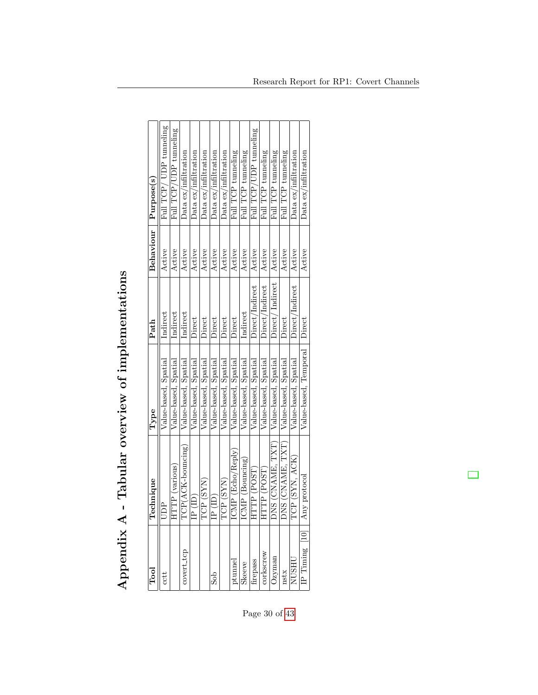| IP(ID)<br>$IP$ (ID)<br>UDP<br>covert_tcp<br>corkscrew<br>asmaz<br>irepass<br>ptunnel<br>Skeeve<br>NUSHI<br>nstx | DNS (CNAME, TXT)<br>DNS (CNAME, TXT)<br>TCP(ACK-bouncing)<br>ICMP (Echo/Reply)<br>ICMP (Bouncing)<br>HTTP (various)<br>HTTP (POST)<br>HTTP (POST)<br>Technique<br>TCP (SYN)<br>TCP (SYN | Value-based, Spatial<br>Value-based, Spatial<br>Value-based, Spatial<br>Value-based, Spatial<br>Value-based, Spatial<br>Value-based, Spatial<br>Value-based, Spatial<br>Value-based, Spatial<br>Value-based, Spatial<br>Value-based, Spatial<br>Value-based, Spatial<br>Value-based, Spatial<br>Value-based, Spatial<br>Type | Direct/Indirect<br>Direct/Indirect<br>Direct/Indirect<br>Indirect<br>Indirect<br>Indirect<br>Indirect<br>Direct<br>Direct<br>Direct<br>Direct<br>Direct<br>Direct<br>Path | Behaviour<br>Active<br>Active<br>Active<br>Active<br>Active<br>Active<br>Active<br>Active<br>Active<br>Active<br>Active<br>Active<br>Active | Full TCP/UDP tunneling<br>Full TCP/UDP tunneling<br>Full TCP/UDP tunneling<br>Full TCP tunneling<br>Full TCP tunneling<br>Full TCP tunneling<br>Full TCP tunneling<br>Full TCP tunneling<br>Data ex/infiltration<br>Data ex/infiltration<br>Data ex/infiltration<br>Data ex/infiltration<br>Data ex/infiltration<br>Purpose(s) |
|-----------------------------------------------------------------------------------------------------------------|-----------------------------------------------------------------------------------------------------------------------------------------------------------------------------------------|------------------------------------------------------------------------------------------------------------------------------------------------------------------------------------------------------------------------------------------------------------------------------------------------------------------------------|---------------------------------------------------------------------------------------------------------------------------------------------------------------------------|---------------------------------------------------------------------------------------------------------------------------------------------|--------------------------------------------------------------------------------------------------------------------------------------------------------------------------------------------------------------------------------------------------------------------------------------------------------------------------------|
| $IP$ Timing $[10$                                                                                               | TCP (SYN, ACK)                                                                                                                                                                          | Value-based, Temporal                                                                                                                                                                                                                                                                                                        | Direct/Indirect                                                                                                                                                           | Active                                                                                                                                      | Data ex/infiltration                                                                                                                                                                                                                                                                                                           |
|                                                                                                                 | Any protocol                                                                                                                                                                            | Value-based, Spatial                                                                                                                                                                                                                                                                                                         | Direct                                                                                                                                                                    | Active                                                                                                                                      | Data ex/infiltration                                                                                                                                                                                                                                                                                                           |

<span id="page-29-0"></span>Appendix A - Tabular overview of implementations Appendix A - Tabular overview of implementations  $\sqrt{ }$ 

Page 30 of [43](#page-42-1)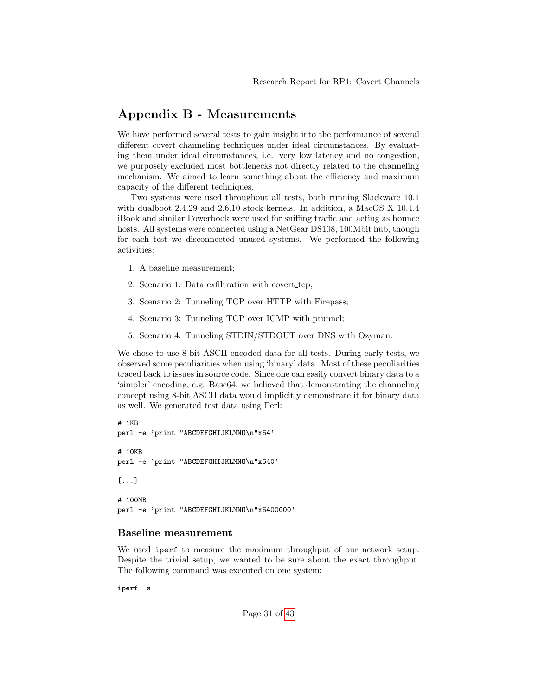## Appendix B - Measurements

<span id="page-30-0"></span>We have performed several tests to gain insight into the performance of several different covert channeling techniques under ideal circumstances. By evaluating them under ideal circumstances, i.e. very low latency and no congestion, we purposely excluded most bottlenecks not directly related to the channeling mechanism. We aimed to learn something about the efficiency and maximum capacity of the different techniques.

Two systems were used throughout all tests, both running Slackware 10.1 with dualboot 2.4.29 and 2.6.10 stock kernels. In addition, a MacOS X 10.4.4 iBook and similar Powerbook were used for sniffing traffic and acting as bounce hosts. All systems were connected using a NetGear DS108, 100Mbit hub, though for each test we disconnected unused systems. We performed the following activities:

- 1. A baseline measurement;
- 2. Scenario 1: Data exfiltration with covert tcp;
- 3. Scenario 2: Tunneling TCP over HTTP with Firepass;
- 4. Scenario 3: Tunneling TCP over ICMP with ptunnel;
- 5. Scenario 4: Tunneling STDIN/STDOUT over DNS with Ozyman.

We chose to use 8-bit ASCII encoded data for all tests. During early tests, we observed some peculiarities when using 'binary' data. Most of these peculiarities traced back to issues in source code. Since one can easily convert binary data to a 'simpler' encoding, e.g. Base64, we believed that demonstrating the channeling concept using 8-bit ASCII data would implicitly demonstrate it for binary data as well. We generated test data using Perl:

# 1KB perl -e 'print "ABCDEFGHIJKLMNO\n"x64' # 10KB perl -e 'print "ABCDEFGHIJKLMNO\n"x640' [...] # 100MB perl -e 'print "ABCDEFGHIJKLMNO\n"x6400000'

### Baseline measurement

We used iperf to measure the maximum throughput of our network setup. Despite the trivial setup, we wanted to be sure about the exact throughput. The following command was executed on one system:

iperf -s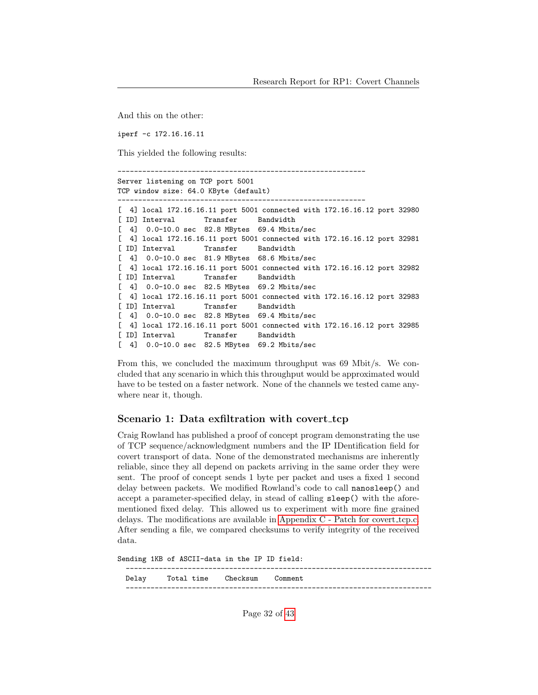------------------------------------------------------------

And this on the other:

iperf -c 172.16.16.11

This yielded the following results:

Server listening on TCP port 5001 TCP window size: 64.0 KByte (default) ------------------------------------------------------------ [ 4] local 172.16.16.11 port 5001 connected with 172.16.16.12 port 32980 [ ID] Interval Transfer Bandwidth [ 4] 0.0-10.0 sec 82.8 MBytes 69.4 Mbits/sec [ 4] local 172.16.16.11 port 5001 connected with 172.16.16.12 port 32981 [ ID] Interval Transfer Bandwidth [ 4] 0.0-10.0 sec 81.9 MBytes 68.6 Mbits/sec [ 4] local 172.16.16.11 port 5001 connected with 172.16.16.12 port 32982 [ ID] Interval Transfer Bandwidth [ 4] 0.0-10.0 sec 82.5 MBytes 69.2 Mbits/sec [ 4] local 172.16.16.11 port 5001 connected with 172.16.16.12 port 32983 [ ID] Interval Transfer Bandwidth [ 4] 0.0-10.0 sec 82.8 MBytes 69.4 Mbits/sec [ 4] local 172.16.16.11 port 5001 connected with 172.16.16.12 port 32985 [ ID] Interval Transfer Bandwidth [ 4] 0.0-10.0 sec 82.5 MBytes 69.2 Mbits/sec

From this, we concluded the maximum throughput was 69 Mbit/s. We concluded that any scenario in which this throughput would be approximated would have to be tested on a faster network. None of the channels we tested came anywhere near it, though.

#### Scenario 1: Data exfiltration with covert\_tcp

Craig Rowland has published a proof of concept program demonstrating the use of TCP sequence/acknowledgment numbers and the IP IDentification field for covert transport of data. None of the demonstrated mechanisms are inherently reliable, since they all depend on packets arriving in the same order they were sent. The proof of concept sends 1 byte per packet and uses a fixed 1 second delay between packets. We modified Rowland's code to call nanosleep() and accept a parameter-specified delay, in stead of calling sleep() with the aforementioned fixed delay. This allowed us to experiment with more fine grained delays. The modifications are available in [Appendix C - Patch for covert](#page-38-0) tcp.c. After sending a file, we compared checksums to verify integrity of the received data.

Sending 1KB of ASCII-data in the IP ID field:

-------------------------------------------------------------------------- Delay Total time Checksum Comment --------------------------------------------------------------------------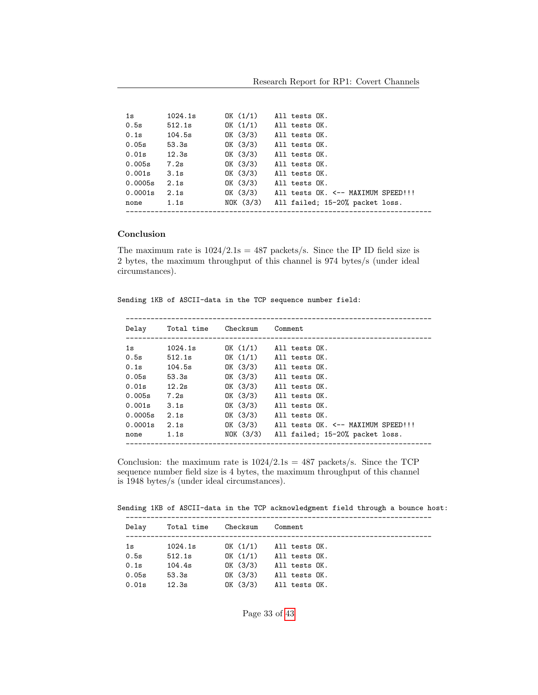| 1s      | 1024.1s | OK $(1/1)$ | All tests OK.                      |
|---------|---------|------------|------------------------------------|
| 0.5s    | 512.1s  | OK $(1/1)$ | All tests OK.                      |
| 0.1s    | 104.5s  | OK (3/3)   | All tests OK.                      |
| 0.05s   | 53.3s   | OK(3/3)    | All tests OK.                      |
| 0.01s   | 12.3s   | OK(3/3)    | All tests OK.                      |
| 0.005s  | 7.2s    | OK (3/3)   | All tests OK.                      |
| 0.001s  | 3.1s    | OK(3/3)    | All tests OK.                      |
| 0.0005s | 2.1s    | OK(3/3)    | All tests OK.                      |
| 0.0001s | 2.1s    | OK (3/3)   | All tests OK. <-- MAXIMUM SPEED!!! |
| none    | 1.1s    | NOK (3/3)  | All failed; 15-20% packet loss.    |

#### Conclusion

The maximum rate is  $1024/2.1s = 487$  packets/s. Since the IP ID field size is 2 bytes, the maximum throughput of this channel is 974 bytes/s (under ideal circumstances).

| Delay   | Total time | Checksum   | Comment                            |
|---------|------------|------------|------------------------------------|
| 1s      | 1024.1s    | OK $(1/1)$ | All tests OK.                      |
| 0.5s    | 512.1s     | OK $(1/1)$ | All tests OK.                      |
| 0.1s    | 104.5s     | OK (3/3)   | All tests OK.                      |
| 0.05s   | 53.3s      | OK(3/3)    | All tests OK.                      |
| 0.01s   | 12.2s      | OK(3/3)    | All tests OK.                      |
| 0.005s  | 7.2s       | OK(3/3)    | All tests OK.                      |
| 0.001s  | 3.1s       | OK(3/3)    | All tests OK.                      |
| 0.0005s | 2.1s       | OK(3/3)    | All tests OK.                      |
| 0.0001s | 2.1s       | OK (3/3)   | All tests OK. <-- MAXIMUM SPEED!!! |
| none    | 1.1s       | NOK (3/3)  | All failed; 15-20% packet loss.    |

Sending 1KB of ASCII-data in the TCP sequence number field:

Conclusion: the maximum rate is  $1024/2.1s = 487$  packets/s. Since the TCP sequence number field size is 4 bytes, the maximum throughput of this channel is 1948 bytes/s (under ideal circumstances).

--------------------------------------------------------------------------

Sending 1KB of ASCII-data in the TCP acknowledgment field through a bounce host:

| Delay | Total time | Checksum   | Comment       |
|-------|------------|------------|---------------|
| 1s    | 1024.1s    | OK $(1/1)$ | All tests OK. |
| 0.5s  | 512.1s     | OK $(1/1)$ | All tests OK. |
| 0.1s  | 104.4s     | OK (3/3)   | All tests OK. |
| 0.05s | 53.3s      | OK (3/3)   | All tests OK. |
| 0.01s | 12.3s      | OK (3/3)   | All tests OK. |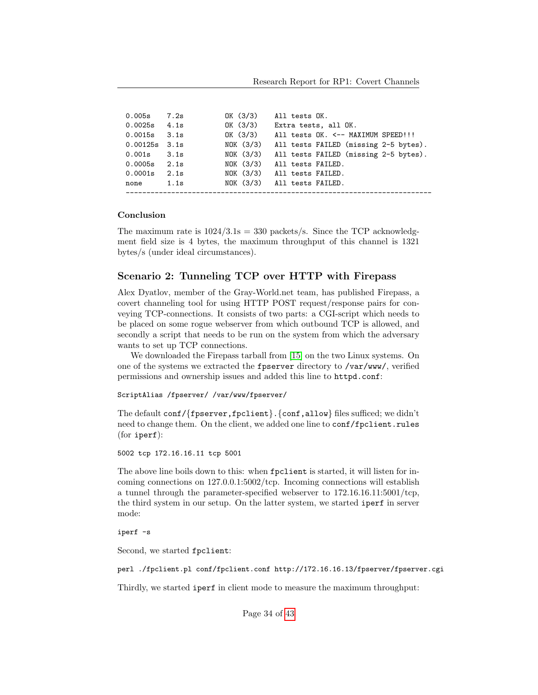0.005s 7.2s OK (3/3) All tests OK. 0.0025s 4.1s OK (3/3) Extra tests, all OK. 0.0015s 3.1s OK (3/3) All tests OK. <-- MAXIMUM SPEED!!! 0.00125s 3.1s NOK (3/3) All tests FAILED (missing 2-5 bytes). 0.001s 3.1s NOK (3/3) All tests FAILED (missing 2-5 bytes). 0.0005s 2.1s NOK (3/3) All tests FAILED. 0.0001s 2.1s NOK (3/3) All tests FAILED. none 1.1s NOK (3/3) All tests FAILED. --------------------------------------------------------------------------

#### Conclusion

The maximum rate is  $1024/3.1s = 330$  packets/s. Since the TCP acknowledgment field size is 4 bytes, the maximum throughput of this channel is 1321 bytes/s (under ideal circumstances).

### Scenario 2: Tunneling TCP over HTTP with Firepass

Alex Dyatlov, member of the Gray-World.net team, has published Firepass, a covert channeling tool for using HTTP POST request/response pairs for conveying TCP-connections. It consists of two parts: a CGI-script which needs to be placed on some rogue webserver from which outbound TCP is allowed, and secondly a script that needs to be run on the system from which the adversary wants to set up TCP connections.

We downloaded the Firepass tarball from [\[15\]](#page-26-14) on the two Linux systems. On one of the systems we extracted the fpserver directory to /var/www/, verified permissions and ownership issues and added this line to httpd.conf:

ScriptAlias /fpserver/ /var/www/fpserver/

The default conf/{fpserver,fpclient}.{conf,allow} files sufficed; we didn't need to change them. On the client, we added one line to conf/fpclient.rules (for iperf):

5002 tcp 172.16.16.11 tcp 5001

The above line boils down to this: when fpclient is started, it will listen for incoming connections on 127.0.0.1:5002/tcp. Incoming connections will establish a tunnel through the parameter-specified webserver to 172.16.16.11:5001/tcp, the third system in our setup. On the latter system, we started iperf in server mode:

iperf -s

Second, we started fpclient:

perl ./fpclient.pl conf/fpclient.conf http://172.16.16.13/fpserver/fpserver.cgi

Thirdly, we started iperf in client mode to measure the maximum throughput: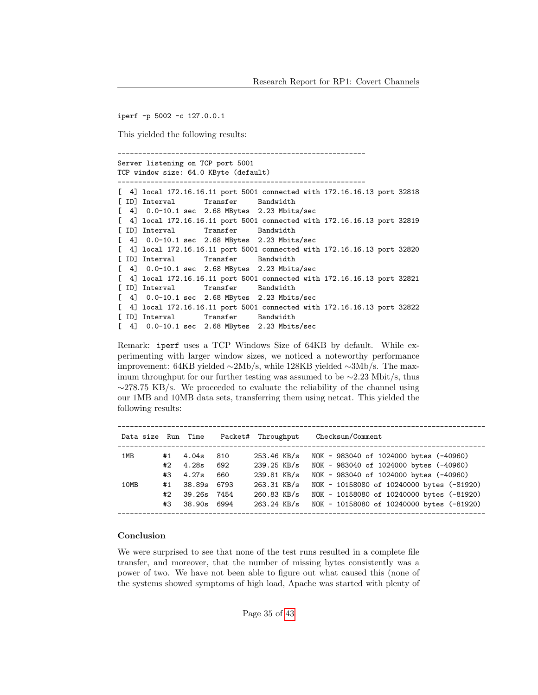iperf -p 5002 -c 127.0.0.1

This yielded the following results:

------------------------------------------------------------ Server listening on TCP port 5001 TCP window size: 64.0 KByte (default) ------------------------------------------------------------ [ 4] local 172.16.16.11 port 5001 connected with 172.16.16.13 port 32818 [ ID] Interval Transfer Bandwidth [ 4] 0.0-10.1 sec 2.68 MBytes 2.23 Mbits/sec [ 4] local 172.16.16.11 port 5001 connected with 172.16.16.13 port 32819 [ ID] Interval Transfer Bandwidth [ 4] 0.0-10.1 sec 2.68 MBytes 2.23 Mbits/sec [ 4] local 172.16.16.11 port 5001 connected with 172.16.16.13 port 32820 [ ID] Interval Transfer Bandwidth [ 4] 0.0-10.1 sec 2.68 MBytes 2.23 Mbits/sec [ 4] local 172.16.16.11 port 5001 connected with 172.16.16.13 port 32821 [ ID] Interval Transfer Bandwidth [ 4] 0.0-10.1 sec 2.68 MBytes 2.23 Mbits/sec [ 4] local 172.16.16.11 port 5001 connected with 172.16.16.13 port 32822 [ ID] Interval Transfer Bandwidth [ 4] 0.0-10.1 sec 2.68 MBytes 2.23 Mbits/sec

Remark: iperf uses a TCP Windows Size of 64KB by default. While experimenting with larger window sizes, we noticed a noteworthy performance improvement: 64KB yielded ∼2Mb/s, while 128KB yielded ∼3Mb/s. The maximum throughput for our further testing was assumed to be ∼2.23 Mbit/s, thus  $\sim$ 278.75 KB/s. We proceeded to evaluate the reliability of the channel using our 1MB and 10MB data sets, transferring them using netcat. This yielded the following results:

| Data size Run Time |          |                | Packet#    | Throughput                 | Checksum/Comment                                                                 |
|--------------------|----------|----------------|------------|----------------------------|----------------------------------------------------------------------------------|
| 1MB                | #1<br>#2 | 4.04s<br>4.28s | 810<br>692 | 253.46 KB/s<br>239.25 KB/s | NOK - 983040 of 1024000 bytes (-40960)<br>NOK - 983040 of 1024000 bytes (-40960) |
|                    | #3       | 4.27s          | 660        | 239.81 KB/s                | NOK - 983040 of 1024000 bytes (-40960)                                           |
| 10MB               | #1       | 38.89s         | 6793       | 263.31 KB/s                | NOK - 10158080 of 10240000 bytes (-81920)                                        |
|                    | #2       | 39.26s         | 7454       | $260.83$ KB/s              | NOK - 10158080 of 10240000 bytes (-81920)                                        |
|                    | #3       | 38.90s 6994    |            | $263.24$ KB/s              | NOK - 10158080 of 10240000 bytes (-81920)                                        |

#### Conclusion

We were surprised to see that none of the test runs resulted in a complete file transfer, and moreover, that the number of missing bytes consistently was a power of two. We have not been able to figure out what caused this (none of the systems showed symptoms of high load, Apache was started with plenty of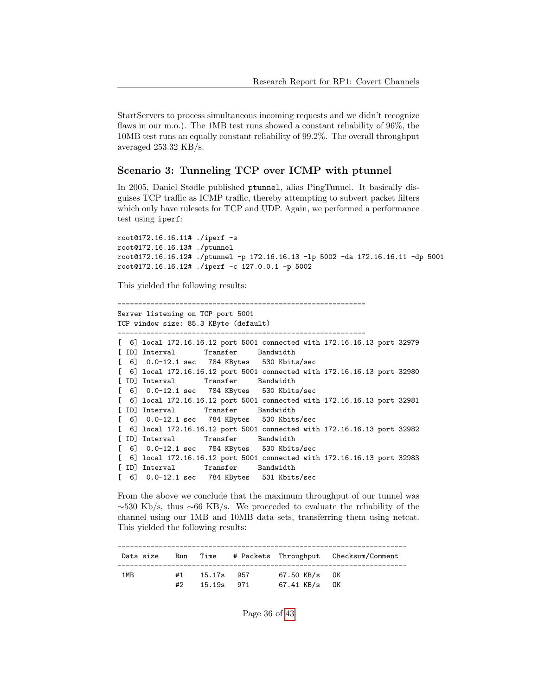StartServers to process simultaneous incoming requests and we didn't recognize flaws in our m.o.). The 1MB test runs showed a constant reliability of 96%, the 10MB test runs an equally constant reliability of 99.2%. The overall throughput averaged 253.32 KB/s.

### Scenario 3: Tunneling TCP over ICMP with ptunnel

In 2005, Daniel Stødle published ptunnel, alias PingTunnel. It basically disguises TCP traffic as ICMP traffic, thereby attempting to subvert packet filters which only have rulesets for TCP and UDP. Again, we performed a performance test using iperf:

```
root@172.16.16.11# ./iperf -s
root@172.16.16.13# ./ptunnel
root@172.16.16.12# ./ptunnel -p 172.16.16.13 -lp 5002 -da 172.16.16.11 -dp 5001
root@172.16.16.12# ./iperf -c 127.0.0.1 -p 5002
```
This yielded the following results:

```
------------------------------------------------------------
Server listening on TCP port 5001
TCP window size: 85.3 KByte (default)
 ------------------------------------------------------------
[ 6] local 172.16.16.12 port 5001 connected with 172.16.16.13 port 32979
[ ID] Interval Transfer Bandwidth
[ 6] 0.0-12.1 sec 784 KBytes 530 Kbits/sec
[ 6] local 172.16.16.12 port 5001 connected with 172.16.16.13 port 32980
[ ID] Interval Transfer Bandwidth
[ 6] 0.0-12.1 sec 784 KBytes 530 Kbits/sec
[ 6] local 172.16.16.12 port 5001 connected with 172.16.16.13 port 32981
[ ID] Interval Transfer Bandwidth
[ 6] 0.0-12.1 sec 784 KBytes 530 Kbits/sec
[ 6] local 172.16.16.12 port 5001 connected with 172.16.16.13 port 32982
[ ID] Interval Transfer Bandwidth
[ 6] 0.0-12.1 sec 784 KBytes 530 Kbits/sec
[ 6] local 172.16.16.12 port 5001 connected with 172.16.16.13 port 32983
[ ID] Interval Transfer Bandwidth
[ 6] 0.0-12.1 sec 784 KBytes 531 Kbits/sec
```
From the above we conclude that the maximum throughput of our tunnel was ∼530 Kb/s, thus ∼66 KB/s. We proceeded to evaluate the reliability of the channel using our 1MB and 10MB data sets, transferring them using netcat. This yielded the following results:

| Data size | Run      |                      |     |                                | Time # Packets Throughput Checksum/Comment |
|-----------|----------|----------------------|-----|--------------------------------|--------------------------------------------|
| 1MB       | #1<br>#2 | 15.17s<br>15.19s 971 | 957 | 67.50 KB/s OK<br>67.41 KB/s OK |                                            |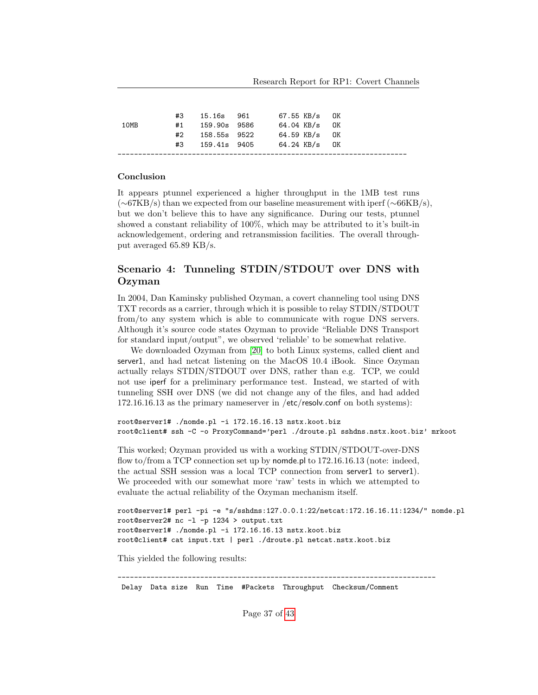|      | #3 | 15.16s 961   | 67.55 KB/s OK |  |
|------|----|--------------|---------------|--|
| 10MB | #1 | 159.90s 9586 | 64.04 KB/s OK |  |
|      | #2 | 158.55s 9522 | 64.59 KB/s OK |  |
|      | #3 | 159.41s 9405 | 64.24 KB/s OK |  |
|      |    |              |               |  |

#### Conclusion

It appears ptunnel experienced a higher throughput in the 1MB test runs  $(\sim$ 67KB/s) than we expected from our baseline measurement with iperf ( $\sim$ 66KB/s), but we don't believe this to have any significance. During our tests, ptunnel showed a constant reliability of 100%, which may be attributed to it's built-in acknowledgement, ordering and retransmission facilities. The overall throughput averaged 65.89 KB/s.

## Scenario 4: Tunneling STDIN/STDOUT over DNS with Ozyman

In 2004, Dan Kaminsky published Ozyman, a covert channeling tool using DNS TXT records as a carrier, through which it is possible to relay STDIN/STDOUT from/to any system which is able to communicate with rogue DNS servers. Although it's source code states Ozyman to provide "Reliable DNS Transport for standard input/output", we observed 'reliable' to be somewhat relative.

We downloaded Ozyman from [\[20\]](#page-27-2) to both Linux systems, called client and server1, and had netcat listening on the MacOS 10.4 iBook. Since Ozyman actually relays STDIN/STDOUT over DNS, rather than e.g. TCP, we could not use iperf for a preliminary performance test. Instead, we started of with tunneling SSH over DNS (we did not change any of the files, and had added 172.16.16.13 as the primary nameserver in /etc/resolv.conf on both systems):

```
root@server1# ./nomde.pl -i 172.16.16.13 nstx.koot.biz
root@client# ssh -C -o ProxyCommand='perl ./droute.pl sshdns.nstx.koot.biz' mrkoot
```
This worked; Ozyman provided us with a working STDIN/STDOUT-over-DNS flow to/from a TCP connection set up by nomde.pl to 172.16.16.13 (note: indeed, the actual SSH session was a local TCP connection from server1 to server1). We proceeded with our somewhat more 'raw' tests in which we attempted to evaluate the actual reliability of the Ozyman mechanism itself.

```
root@server1# perl -pi -e "s/sshdns:127.0.0.1:22/netcat:172.16.16.11:1234/" nomde.pl
root@server2# nc -l -p 1234 > output.txt
root@server1# ./nomde.pl -i 172.16.16.13 nstx.koot.biz
root@client# cat input.txt | perl ./droute.pl netcat.nstx.koot.biz
```
This yielded the following results:

-----------------------------------------------------------------------------

Delay Data size Run Time #Packets Throughput Checksum/Comment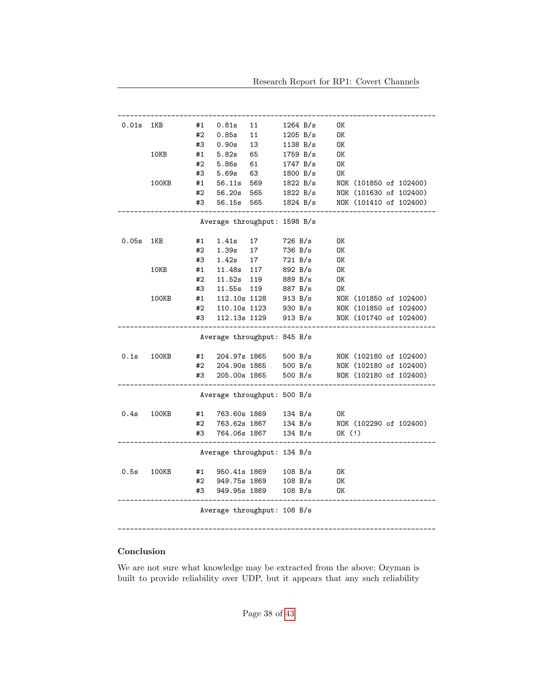| 0.01s                        | 1KB                         | #1 | 0.81s                       | 11                   |  | 1264 B/s  | OK     |                        |  |  |
|------------------------------|-----------------------------|----|-----------------------------|----------------------|--|-----------|--------|------------------------|--|--|
|                              |                             | #2 | 0.85s                       | 11                   |  | 1205 B/s  | OK     |                        |  |  |
|                              |                             | #3 | 0.90s                       | 13                   |  | 1138 B/s  | OK     |                        |  |  |
|                              | 10KB                        | #1 | 5.82s                       | 65                   |  | 1759 B/s  | OK     |                        |  |  |
|                              |                             | #2 | 5.86s                       | 61                   |  | 1747 B/s  | OK     |                        |  |  |
|                              |                             | #3 | 5.69s                       | 63                   |  | 1800 B/s  | OK     |                        |  |  |
|                              | 100KB                       | #1 | 56.11s 569                  |                      |  | 1822 B/s  |        | NOK (101850 of 102400) |  |  |
|                              |                             | #2 | 56.20s 565                  |                      |  | 1822 B/s  |        | NOK (101630 of 102400) |  |  |
|                              |                             | #3 | 56.15s 565                  |                      |  | 1824 B/s  |        | NOK (101410 of 102400) |  |  |
|                              |                             |    |                             |                      |  |           |        |                        |  |  |
| Average throughput: 1598 B/s |                             |    |                             |                      |  |           |        |                        |  |  |
| 0.05s                        | 1KB                         | #1 | 1.41s 17                    |                      |  | 726 B/s   | OK     |                        |  |  |
|                              |                             | #2 | 1.39s                       | 17                   |  | 736 B/s   | OK     |                        |  |  |
|                              |                             | #3 | $1.42s$ 17                  |                      |  | 721 B/s   | OK     |                        |  |  |
|                              | 10KB                        | #1 | 11.48s 117                  |                      |  | 892 B/s   | OK     |                        |  |  |
|                              |                             | #2 | 11.52s 119                  |                      |  | 889 B/s   | OK     |                        |  |  |
|                              |                             | #3 | 11.55s 119                  |                      |  | 887 B/s   | OK     |                        |  |  |
|                              | 100KB                       | #1 | 112.10s 1128                |                      |  | 913 B/s   |        | NOK (101850 of 102400) |  |  |
|                              |                             | #2 | 110.10s 1123                |                      |  | 930 B/s   |        | NOK (101850 of 102400) |  |  |
|                              |                             | #3 | 112.13s 1129                |                      |  | 913 B/s   |        | NOK (101740 of 102400) |  |  |
|                              |                             |    |                             |                      |  |           |        |                        |  |  |
|                              |                             |    | Average throughput: 845 B/s |                      |  |           |        |                        |  |  |
| 0.1s                         | 100KB                       | #1 |                             | 204.97s 1865         |  | 500 $B/s$ |        | NOK (102180 of 102400) |  |  |
|                              |                             | #2 |                             | 204.90s 1865 500 B/s |  |           |        | NOK (102180 of 102400) |  |  |
|                              |                             | #3 | 205.00s 1865                |                      |  | 500 B/s   |        | NOK (102180 of 102400) |  |  |
|                              |                             |    |                             |                      |  |           |        |                        |  |  |
|                              | Average throughput: 500 B/s |    |                             |                      |  |           |        |                        |  |  |
| 0.4s                         | 100KB                       |    | #1 763.60s 1869             |                      |  | 134 $B/s$ | OK     |                        |  |  |
|                              |                             | #2 | 763.62s 1867                |                      |  | 134 B/s   |        | NOK (102290 of 102400) |  |  |
|                              |                             | #3 | 764.06s 1867                |                      |  | 134 B/s   | OK (!) |                        |  |  |
|                              |                             |    |                             |                      |  |           |        |                        |  |  |
|                              |                             |    | Average throughput: 134 B/s |                      |  |           |        |                        |  |  |
| 0.5s                         | 100KB                       | #1 | 950.41s 1869                |                      |  | 108 B/s   | OK     |                        |  |  |
|                              |                             | #2 | 949.75s 1869                |                      |  | 108 B/s   | OK     |                        |  |  |
|                              |                             | #3 | 949.95s 1869                |                      |  | 108 B/s   | OK     |                        |  |  |
|                              |                             |    |                             |                      |  |           |        |                        |  |  |
|                              |                             |    | Average throughput: 108 B/s |                      |  |           |        |                        |  |  |
|                              |                             |    |                             |                      |  |           |        |                        |  |  |

#### Conclusion

We are not sure what knowledge may be extracted from the above; Ozyman is built to provide reliability over UDP, but it appears that any such reliability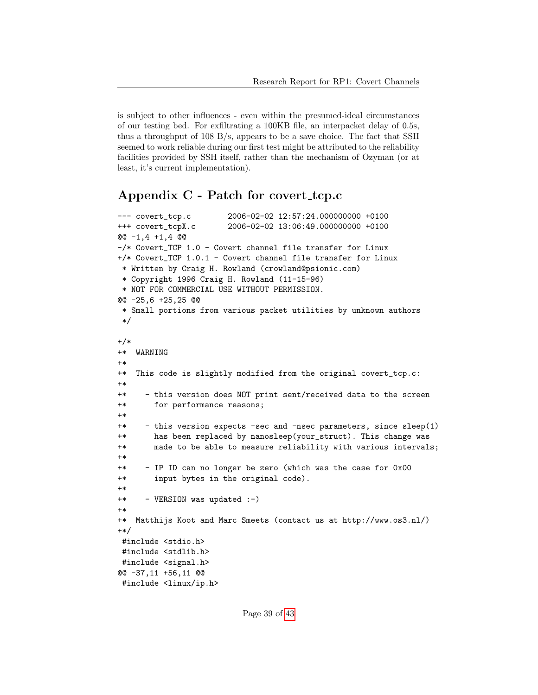is subject to other influences - even within the presumed-ideal circumstances of our testing bed. For exfiltrating a 100KB file, an interpacket delay of 0.5s, thus a throughput of 108 B/s, appears to be a save choice. The fact that SSH seemed to work reliable during our first test might be attributed to the reliability facilities provided by SSH itself, rather than the mechanism of Ozyman (or at least, it's current implementation).

## Appendix  $C$  - Patch for covert tcp.c

```
--- covert_tcp.c 2006-02-02 12:57:24.000000000 +0100
+++ covert_tcpX.c 2006-02-02 13:06:49.000000000 +0100
@@ -1,4 +1,4 @@
-/* Covert_TCP 1.0 - Covert channel file transfer for Linux
+/* Covert_TCP 1.0.1 - Covert channel file transfer for Linux
* Written by Craig H. Rowland (crowland@psionic.com)
* Copyright 1996 Craig H. Rowland (11-15-96)
 * NOT FOR COMMERCIAL USE WITHOUT PERMISSION.
@@ -25,6 +25,25 @@
 * Small portions from various packet utilities by unknown authors
*/
+/*
+* WARNING
+*
+* This code is slightly modified from the original covert_tcp.c:
+*
+* - this version does NOT print sent/received data to the screen
+* for performance reasons;
+*
+* - this version expects -sec and -nsec parameters, since sleep(1)
+* has been replaced by nanosleep(your_struct). This change was
+* made to be able to measure reliability with various intervals;
+*
+* - IP ID can no longer be zero (which was the case for 0x00
+* input bytes in the original code).
+*
+* - VERSION was updated :-)
+*
+* Matthijs Koot and Marc Smeets (contact us at http://www.os3.nl/)
+*/
#include <stdio.h>
#include <stdlib.h>
#include <signal.h>
@@ -37,11 +56,11 @@
#include <linux/ip.h>
```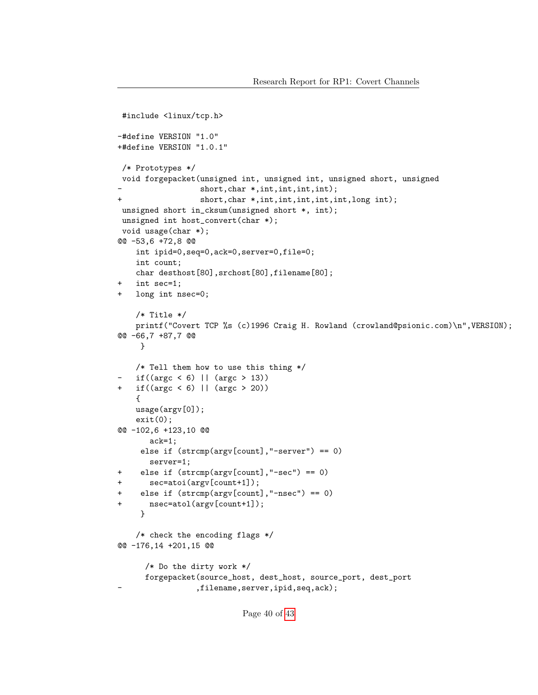```
#include <linux/tcp.h>
-#define VERSION "1.0"
+#define VERSION "1.0.1"
/* Prototypes */
void forgepacket(unsigned int, unsigned int, unsigned short, unsigned
                 short, char *, int, int, int, int);
+ short,char *,int,int,int,int,int,long int);
unsigned short in_cksum(unsigned short *, int);
unsigned int host_convert(char *);
void usage(char *);
@@ -53,6 +72,8 @@
   int ipid=0,seq=0,ack=0,server=0,file=0;
   int count;
   char desthost[80], srchost[80], filename[80];
+ int sec=1;
  long int nsec=0;
   /* Title */
   printf("Covert TCP %s (c)1996 Craig H. Rowland (crowland@psionic.com)\n",VERSION);
@@ -66,7 +87,7 @@
    }
   /* Tell them how to use this thing */
  if((argc < 6) || (argc > 13))
+ if((argc < 6) || (argc > 20))
   {
   usage(argv[0]);
   exit(0);
@@ -102,6 +123,10 @@
      ack=1;
    else if (strcmp(argv[count],"-server") == 0)
      server=1;
+ else if (strcmp(argv[count],"-sec") == 0)
+ sec=atoi(argv[count+1]);
+ else if (strcmp(argv[count],"-nsec") == 0)
+ nsec=atol(argv[count+1]);
    }
    /* check the encoding flags */
@@ -176,14 +201,15 @@
     /* Do the dirty work */
     forgepacket(source_host, dest_host, source_port, dest_port
                 ,filename, server, ipid, seq, ack);
```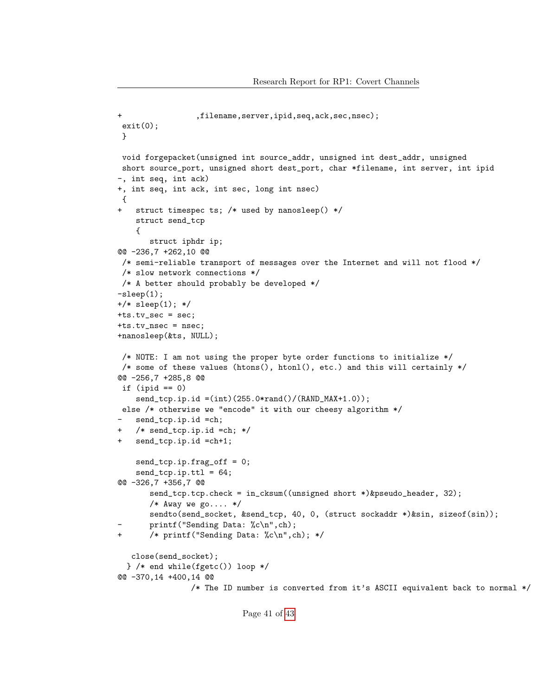```
,filename,server,ipid,seq,ack,sec,nsec);
 exit(0);
 }
void forgepacket(unsigned int source_addr, unsigned int dest_addr, unsigned
short source_port, unsigned short dest_port, char *filename, int server, int ipid
-, int seq, int ack)
+, int seq, int ack, int sec, long int nsec)
 {
+ struct timespec ts; /* used by nanosleep() */
   struct send_tcp
    {
       struct iphdr ip;
@@ -236,7 +262,10 @@
/* semi-reliable transport of messages over the Internet and will not flood */
/* slow network connections */
/* A better should probably be developed */
-sleep(1);+/* sleep(1); */
+ts.tv_sec = sec;
+ts.tv_nsec = nsec;
+nanosleep(&ts, NULL);
/* NOTE: I am not using the proper byte order functions to initialize */
/* some of these values (htons(), htonl(), etc.) and this will certainly */
@@ -256,7 +285,8 @@
if (ipid == 0)send_tcp.jp.id =(int)(255.0*rand()/(RAND_MAX+1.0));else /* otherwise we "encode" it with our cheesy algorithm */
   send_tcp.ip.id =ch;
   /* send_tcp.ip.id =ch; */send_tcp.ip.id =ch+1;
   send_tcp.ip.frag_off = 0;
    send_tcp.jp.ttl = 64;@@ -326,7 +356,7 @@
       send_tcp.tcp.check = in_cksum((unsigned short *)&pseudo_header, 32);
       /* Away we go.... */sendto(send_socket, &send_tcp, 40, 0, (struct sockaddr *)&sin, sizeof(sin));
       printf("Sending Data: %c\n",ch);
+ /* printf("Sending Data: %c\n",ch); */
   close(send_socket);
  } /* end while(fgetc()) loop */
@@ -370,14 +400,14 @@
                /* The ID number is converted from it's ASCII equivalent back to normal */
```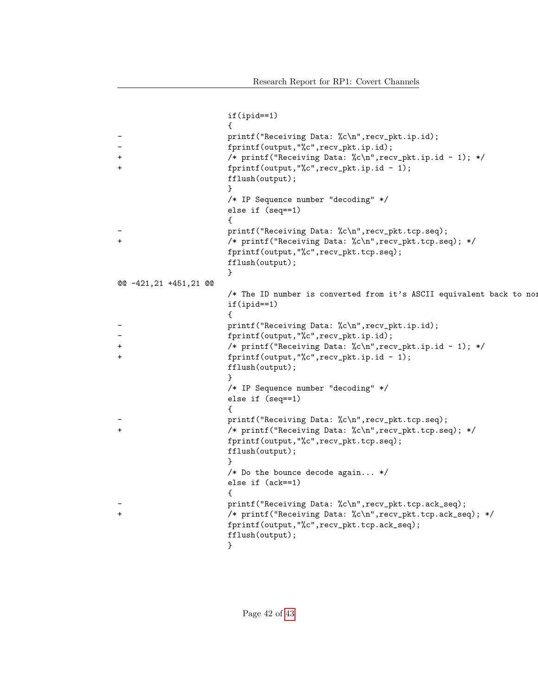```
if(ipid==1)
                    {
- printf("Receiving Data: %c\n",recv_pkt.ip.id);
- fprintf(output,"%c",recv_pkt.ip.id);
+ /* printf("Receiving Data: %c\n",recv_pkt.ip.id - 1); */
+ fprintf(output,"%c",recv_pkt.ip.id - 1);
                    fflush(output);
                    }
                    /* IP Sequence number "decoding" */
                    else if (seq==1)
                    {
                    printf("Receiving Data: %c\n",recv_pkt.tcp.seq);
+ /* printf("Receiving Data: %c\n",recv_pkt.tcp.seq); */
                    fprintf(output,"%c",recv_pkt.tcp.seq);
                    fflush(output);
                    }
@@ -421,21 +451,21 @@
                    /* The ID number is converted from it's ASCII equivalent back to normal
                    if(ipid==1)
                    {
                    printf("Receiving Data: %c\n",recv_pkt.ip.id);
- fprintf(output,"%c",recv_pkt.ip.id);
+ /* printf("Receiving Data: %c\n",recv_pkt.ip.id - 1); */
+ fprintf(output,"%c",recv_pkt.ip.id - 1);
                    fflush(output);
                    }
                    /* IP Sequence number "decoding" */
                    else if (seq==1)
                    {
                    printf("Receiving Data: %c\n",recv_pkt.tcp.seq);
+ /* printf("Receiving Data: %c\n",recv_pkt.tcp.seq); */
                    fprintf(output,"%c",recv_pkt.tcp.seq);
                    fflush(output);
                    }
                    /* Do the bounce decode again... */
                    else if (ack==1)
                     {
                    printf("Receiving Data: %c\n",recv_pkt.tcp.ack_seq);
+ /* printf("Receiving Data: %c\n",recv_pkt.tcp.ack_seq); */
                    fprintf(output,"%c",recv_pkt.tcp.ack_seq);
                    fflush(output);
                    }
```